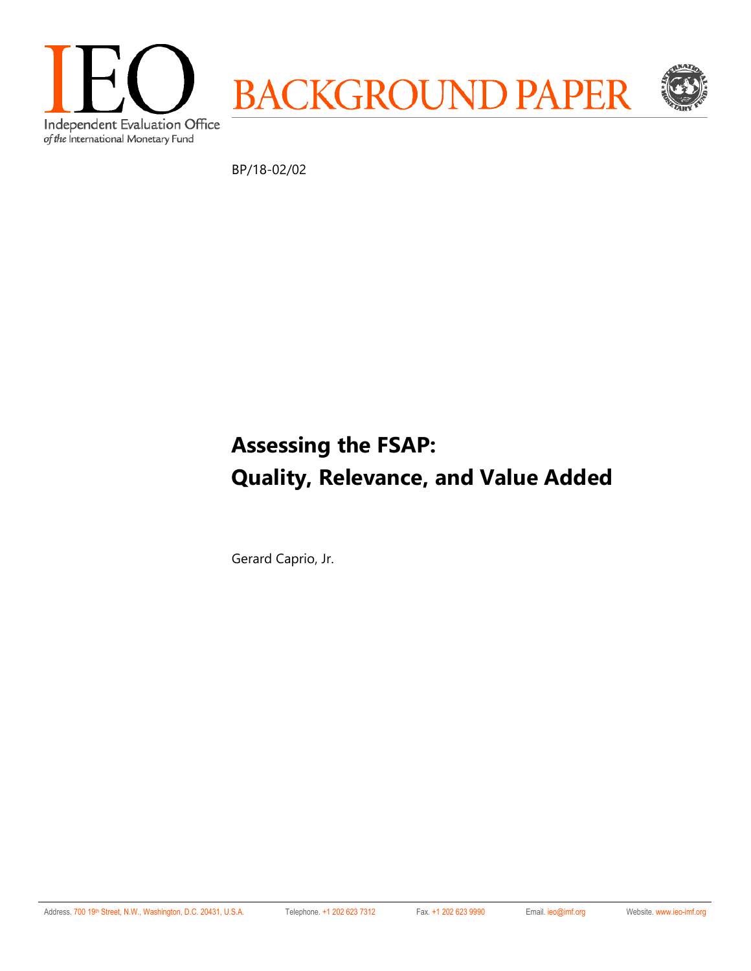

BP/18-02/02

# **Assessing the FSAP: Quality, Relevance, and Value Added**

Gerard Caprio, Jr.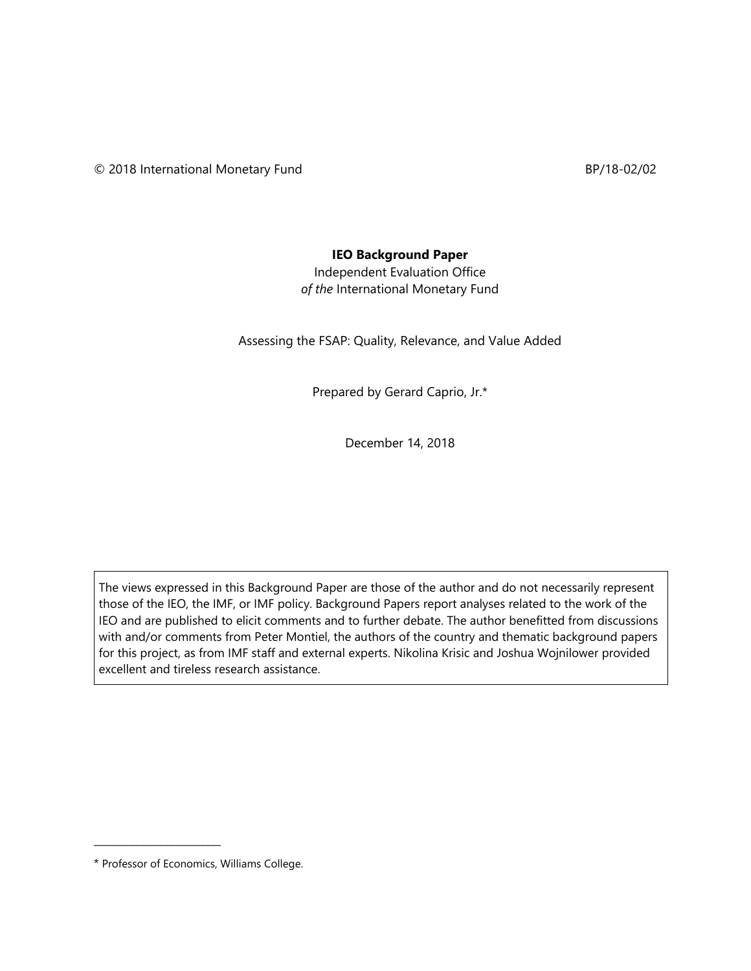#### **IEO Background Paper**

Independent Evaluation Office *of the* International Monetary Fund

Assessing the FSAP: Quality, Relevance, and Value Added

Prepared by Gerard Caprio, Jr.\*

December 14, 2018

The views expressed in this Background Paper are those of the author and do not necessarily represent those of the IEO, the IMF, or IMF policy. Background Papers report analyses related to the work of the IEO and are published to elicit comments and to further debate. The author benefitted from discussions with and/or comments from Peter Montiel, the authors of the country and thematic background papers for this project, as from IMF staff and external experts. Nikolina Krisic and Joshua Wojnilower provided excellent and tireless research assistance.

\_\_\_\_\_\_\_\_\_\_\_\_\_\_\_\_\_\_\_\_\_\_\_\_\_

<sup>\*</sup> Professor of Economics, Williams College.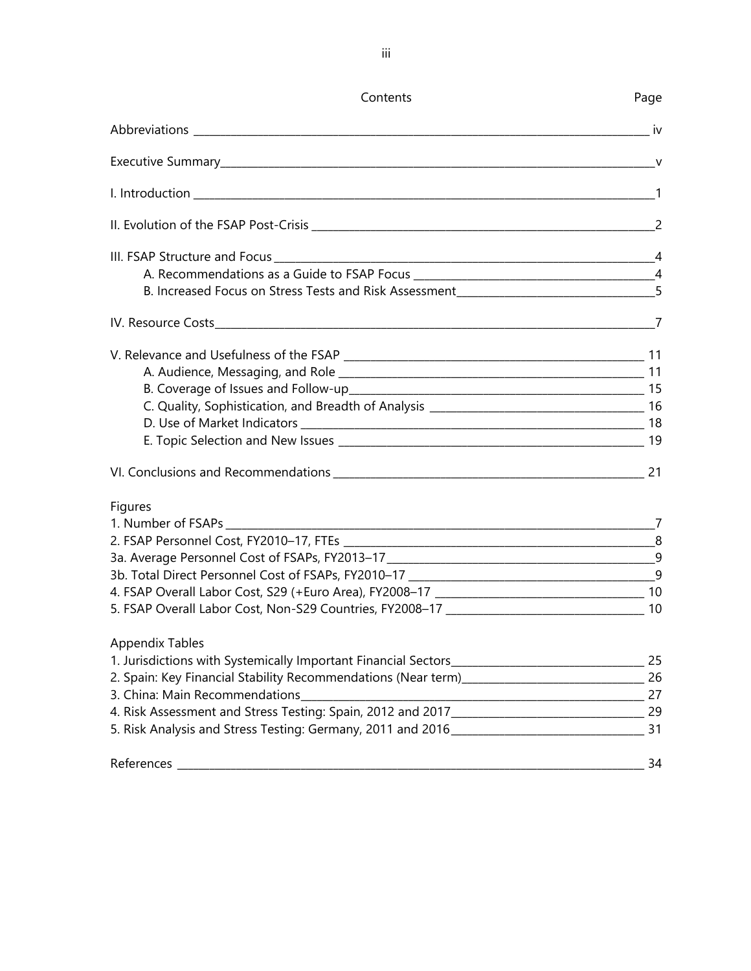| Contents                                                                           | Page |
|------------------------------------------------------------------------------------|------|
|                                                                                    |      |
|                                                                                    |      |
|                                                                                    |      |
|                                                                                    |      |
|                                                                                    |      |
|                                                                                    |      |
| B. Increased Focus on Stress Tests and Risk Assessment___________________________5 |      |
|                                                                                    |      |
|                                                                                    |      |
|                                                                                    |      |
|                                                                                    |      |
|                                                                                    |      |
|                                                                                    |      |
|                                                                                    |      |
|                                                                                    |      |
| Figures                                                                            |      |
|                                                                                    |      |
|                                                                                    |      |
|                                                                                    |      |
|                                                                                    |      |
|                                                                                    |      |
|                                                                                    |      |
| Appendix Tables                                                                    |      |
|                                                                                    |      |
|                                                                                    |      |
|                                                                                    |      |
|                                                                                    |      |
|                                                                                    |      |
| References                                                                         | 34   |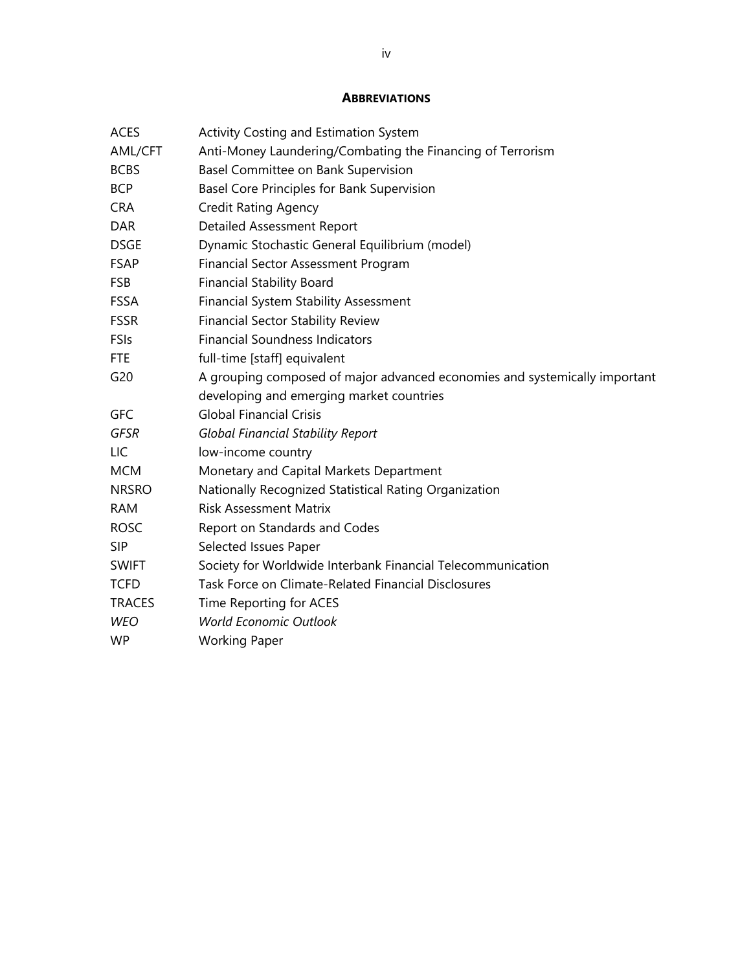#### **ABBREVIATIONS**

| <b>ACES</b>   | Activity Costing and Estimation System                                     |
|---------------|----------------------------------------------------------------------------|
| AML/CFT       | Anti-Money Laundering/Combating the Financing of Terrorism                 |
| <b>BCBS</b>   | Basel Committee on Bank Supervision                                        |
| <b>BCP</b>    | Basel Core Principles for Bank Supervision                                 |
| <b>CRA</b>    | <b>Credit Rating Agency</b>                                                |
| <b>DAR</b>    | <b>Detailed Assessment Report</b>                                          |
| <b>DSGE</b>   | Dynamic Stochastic General Equilibrium (model)                             |
| <b>FSAP</b>   | Financial Sector Assessment Program                                        |
| <b>FSB</b>    | <b>Financial Stability Board</b>                                           |
| FSSA          | <b>Financial System Stability Assessment</b>                               |
| <b>FSSR</b>   | <b>Financial Sector Stability Review</b>                                   |
| FSIs          | <b>Financial Soundness Indicators</b>                                      |
| <b>FTE</b>    | full-time [staff] equivalent                                               |
| G20           | A grouping composed of major advanced economies and systemically important |
|               | developing and emerging market countries                                   |
| <b>GFC</b>    | <b>Global Financial Crisis</b>                                             |
| GFSR          | <b>Global Financial Stability Report</b>                                   |
| LIC           | low-income country                                                         |
| <b>MCM</b>    | Monetary and Capital Markets Department                                    |
| <b>NRSRO</b>  | Nationally Recognized Statistical Rating Organization                      |
| <b>RAM</b>    | <b>Risk Assessment Matrix</b>                                              |
| <b>ROSC</b>   | Report on Standards and Codes                                              |
| <b>SIP</b>    | Selected Issues Paper                                                      |
| <b>SWIFT</b>  | Society for Worldwide Interbank Financial Telecommunication                |
| <b>TCFD</b>   | Task Force on Climate-Related Financial Disclosures                        |
| <b>TRACES</b> | Time Reporting for ACES                                                    |
| <b>WEO</b>    | <b>World Economic Outlook</b>                                              |
| <b>WP</b>     | <b>Working Paper</b>                                                       |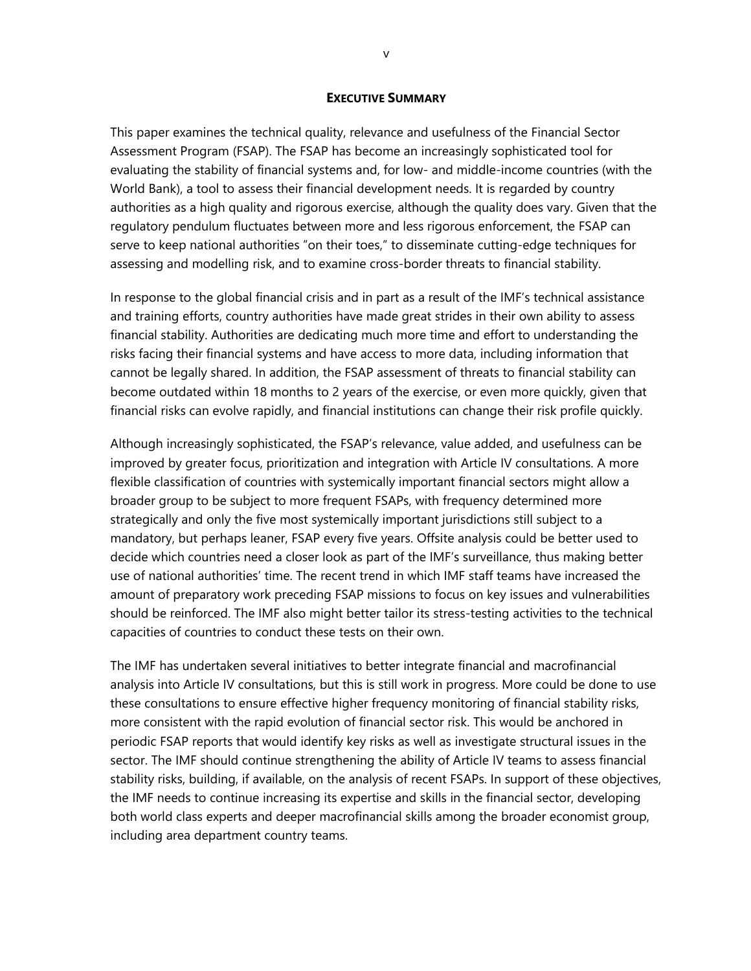#### **EXECUTIVE SUMMARY**

This paper examines the technical quality, relevance and usefulness of the Financial Sector Assessment Program (FSAP). The FSAP has become an increasingly sophisticated tool for evaluating the stability of financial systems and, for low- and middle-income countries (with the World Bank), a tool to assess their financial development needs. It is regarded by country authorities as a high quality and rigorous exercise, although the quality does vary. Given that the regulatory pendulum fluctuates between more and less rigorous enforcement, the FSAP can serve to keep national authorities "on their toes," to disseminate cutting-edge techniques for assessing and modelling risk, and to examine cross-border threats to financial stability.

In response to the global financial crisis and in part as a result of the IMF's technical assistance and training efforts, country authorities have made great strides in their own ability to assess financial stability. Authorities are dedicating much more time and effort to understanding the risks facing their financial systems and have access to more data, including information that cannot be legally shared. In addition, the FSAP assessment of threats to financial stability can become outdated within 18 months to 2 years of the exercise, or even more quickly, given that financial risks can evolve rapidly, and financial institutions can change their risk profile quickly.

Although increasingly sophisticated, the FSAP's relevance, value added, and usefulness can be improved by greater focus, prioritization and integration with Article IV consultations. A more flexible classification of countries with systemically important financial sectors might allow a broader group to be subject to more frequent FSAPs, with frequency determined more strategically and only the five most systemically important jurisdictions still subject to a mandatory, but perhaps leaner, FSAP every five years. Offsite analysis could be better used to decide which countries need a closer look as part of the IMF's surveillance, thus making better use of national authorities' time. The recent trend in which IMF staff teams have increased the amount of preparatory work preceding FSAP missions to focus on key issues and vulnerabilities should be reinforced. The IMF also might better tailor its stress-testing activities to the technical capacities of countries to conduct these tests on their own.

The IMF has undertaken several initiatives to better integrate financial and macrofinancial analysis into Article IV consultations, but this is still work in progress. More could be done to use these consultations to ensure effective higher frequency monitoring of financial stability risks, more consistent with the rapid evolution of financial sector risk. This would be anchored in periodic FSAP reports that would identify key risks as well as investigate structural issues in the sector. The IMF should continue strengthening the ability of Article IV teams to assess financial stability risks, building, if available, on the analysis of recent FSAPs. In support of these objectives, the IMF needs to continue increasing its expertise and skills in the financial sector, developing both world class experts and deeper macrofinancial skills among the broader economist group, including area department country teams.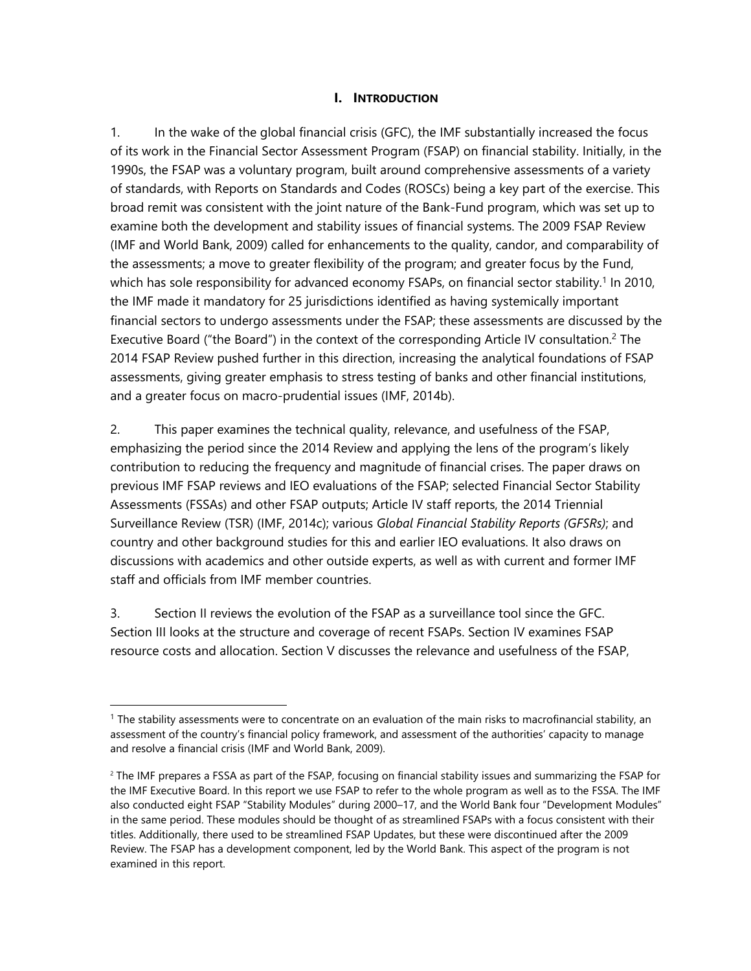#### **I. INTRODUCTION**

1. In the wake of the global financial crisis (GFC), the IMF substantially increased the focus of its work in the Financial Sector Assessment Program (FSAP) on financial stability. Initially, in the 1990s, the FSAP was a voluntary program, built around comprehensive assessments of a variety of standards, with Reports on Standards and Codes (ROSCs) being a key part of the exercise. This broad remit was consistent with the joint nature of the Bank-Fund program, which was set up to examine both the development and stability issues of financial systems. The 2009 FSAP Review (IMF and World Bank, 2009) called for enhancements to the quality, candor, and comparability of the assessments; a move to greater flexibility of the program; and greater focus by the Fund, which has sole responsibility for advanced economy FSAPs, on financial sector stability.<sup>1</sup> In 2010, the IMF made it mandatory for 25 jurisdictions identified as having systemically important financial sectors to undergo assessments under the FSAP; these assessments are discussed by the Executive Board ("the Board") in the context of the corresponding Article IV consultation.<sup>2</sup> The 2014 FSAP Review pushed further in this direction, increasing the analytical foundations of FSAP assessments, giving greater emphasis to stress testing of banks and other financial institutions, and a greater focus on macro-prudential issues (IMF, 2014b).

2. This paper examines the technical quality, relevance, and usefulness of the FSAP, emphasizing the period since the 2014 Review and applying the lens of the program's likely contribution to reducing the frequency and magnitude of financial crises. The paper draws on previous IMF FSAP reviews and IEO evaluations of the FSAP; selected Financial Sector Stability Assessments (FSSAs) and other FSAP outputs; Article IV staff reports, the 2014 Triennial Surveillance Review (TSR) (IMF, 2014c); various *Global Financial Stability Reports (GFSRs)*; and country and other background studies for this and earlier IEO evaluations. It also draws on discussions with academics and other outside experts, as well as with current and former IMF staff and officials from IMF member countries.

3. Section II reviews the evolution of the FSAP as a surveillance tool since the GFC. Section III looks at the structure and coverage of recent FSAPs. Section IV examines FSAP resource costs and allocation. Section V discusses the relevance and usefulness of the FSAP,

 $\overline{a}$ 

<sup>1</sup> The stability assessments were to concentrate on an evaluation of the main risks to macrofinancial stability, an assessment of the country's financial policy framework, and assessment of the authorities' capacity to manage and resolve a financial crisis (IMF and World Bank, 2009).

<sup>&</sup>lt;sup>2</sup> The IMF prepares a FSSA as part of the FSAP, focusing on financial stability issues and summarizing the FSAP for the IMF Executive Board. In this report we use FSAP to refer to the whole program as well as to the FSSA. The IMF also conducted eight FSAP "Stability Modules" during 2000–17, and the World Bank four "Development Modules" in the same period. These modules should be thought of as streamlined FSAPs with a focus consistent with their titles. Additionally, there used to be streamlined FSAP Updates, but these were discontinued after the 2009 Review. The FSAP has a development component, led by the World Bank. This aspect of the program is not examined in this report.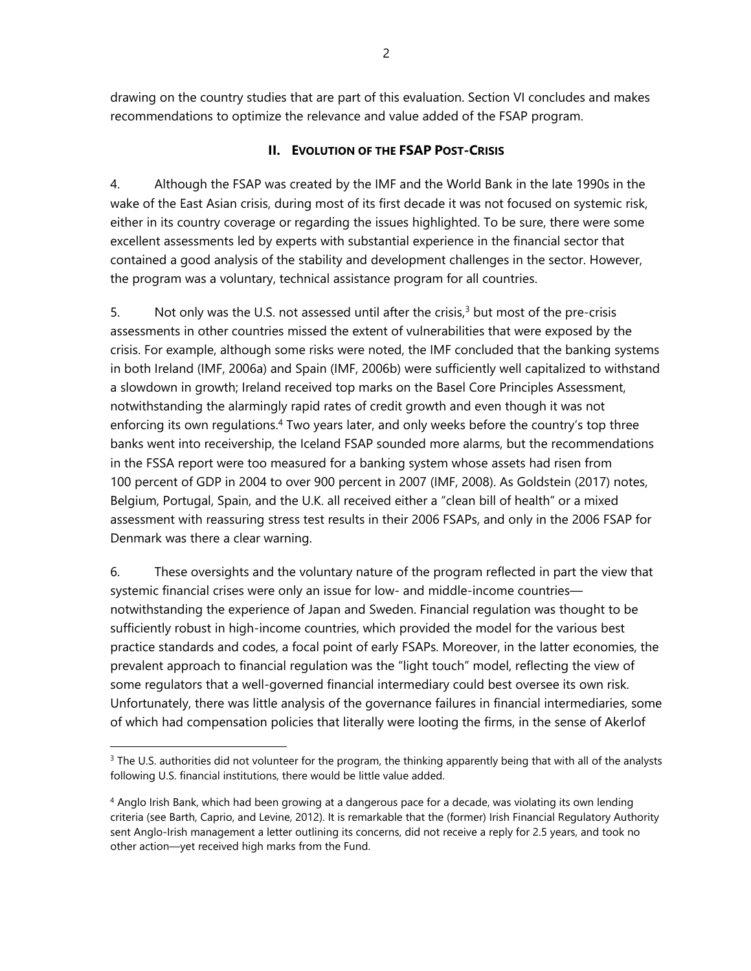drawing on the country studies that are part of this evaluation. Section VI concludes and makes recommendations to optimize the relevance and value added of the FSAP program.

#### **II. EVOLUTION OF THE FSAP POST-CRISIS**

4. Although the FSAP was created by the IMF and the World Bank in the late 1990s in the wake of the East Asian crisis, during most of its first decade it was not focused on systemic risk, either in its country coverage or regarding the issues highlighted. To be sure, there were some excellent assessments led by experts with substantial experience in the financial sector that contained a good analysis of the stability and development challenges in the sector. However, the program was a voluntary, technical assistance program for all countries.

5. Not only was the U.S. not assessed until after the crisis, $3$  but most of the pre-crisis assessments in other countries missed the extent of vulnerabilities that were exposed by the crisis. For example, although some risks were noted, the IMF concluded that the banking systems in both Ireland (IMF, 2006a) and Spain (IMF, 2006b) were sufficiently well capitalized to withstand a slowdown in growth; Ireland received top marks on the Basel Core Principles Assessment, notwithstanding the alarmingly rapid rates of credit growth and even though it was not enforcing its own regulations.<sup>4</sup> Two years later, and only weeks before the country's top three banks went into receivership, the Iceland FSAP sounded more alarms, but the recommendations in the FSSA report were too measured for a banking system whose assets had risen from 100 percent of GDP in 2004 to over 900 percent in 2007 (IMF, 2008). As Goldstein (2017) notes, Belgium, Portugal, Spain, and the U.K. all received either a "clean bill of health" or a mixed assessment with reassuring stress test results in their 2006 FSAPs, and only in the 2006 FSAP for Denmark was there a clear warning.

6. These oversights and the voluntary nature of the program reflected in part the view that systemic financial crises were only an issue for low- and middle-income countries notwithstanding the experience of Japan and Sweden. Financial regulation was thought to be sufficiently robust in high-income countries, which provided the model for the various best practice standards and codes, a focal point of early FSAPs. Moreover, in the latter economies, the prevalent approach to financial regulation was the "light touch" model, reflecting the view of some regulators that a well-governed financial intermediary could best oversee its own risk. Unfortunately, there was little analysis of the governance failures in financial intermediaries, some of which had compensation policies that literally were looting the firms, in the sense of Akerlof

1

 $3$  The U.S. authorities did not volunteer for the program, the thinking apparently being that with all of the analysts following U.S. financial institutions, there would be little value added.

<sup>4</sup> Anglo Irish Bank, which had been growing at a dangerous pace for a decade, was violating its own lending criteria (see Barth, Caprio, and Levine, 2012). It is remarkable that the (former) Irish Financial Regulatory Authority sent Anglo-Irish management a letter outlining its concerns, did not receive a reply for 2.5 years, and took no other action—yet received high marks from the Fund.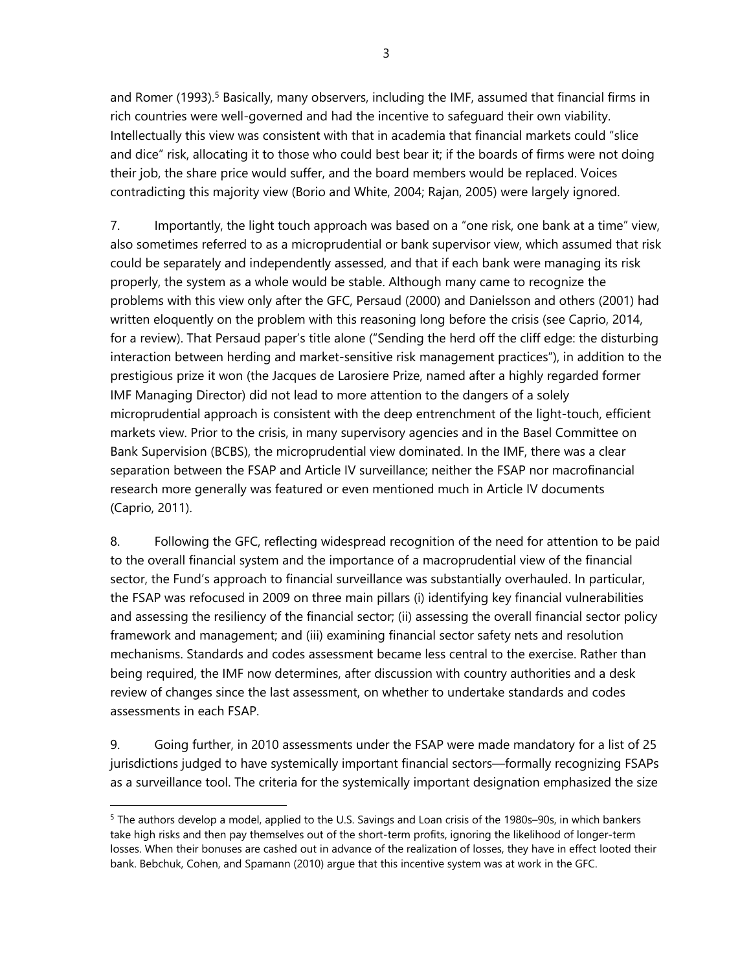and Romer (1993).<sup>5</sup> Basically, many observers, including the IMF, assumed that financial firms in rich countries were well-governed and had the incentive to safeguard their own viability. Intellectually this view was consistent with that in academia that financial markets could "slice and dice" risk, allocating it to those who could best bear it; if the boards of firms were not doing their job, the share price would suffer, and the board members would be replaced. Voices contradicting this majority view (Borio and White, 2004; Rajan, 2005) were largely ignored.

7. Importantly, the light touch approach was based on a "one risk, one bank at a time" view, also sometimes referred to as a microprudential or bank supervisor view, which assumed that risk could be separately and independently assessed, and that if each bank were managing its risk properly, the system as a whole would be stable. Although many came to recognize the problems with this view only after the GFC, Persaud (2000) and Danielsson and others (2001) had written eloquently on the problem with this reasoning long before the crisis (see Caprio, 2014, for a review). That Persaud paper's title alone ("Sending the herd off the cliff edge: the disturbing interaction between herding and market-sensitive risk management practices"), in addition to the prestigious prize it won (the Jacques de Larosiere Prize, named after a highly regarded former IMF Managing Director) did not lead to more attention to the dangers of a solely microprudential approach is consistent with the deep entrenchment of the light-touch, efficient markets view. Prior to the crisis, in many supervisory agencies and in the Basel Committee on Bank Supervision (BCBS), the microprudential view dominated. In the IMF, there was a clear separation between the FSAP and Article IV surveillance; neither the FSAP nor macrofinancial research more generally was featured or even mentioned much in Article IV documents (Caprio, 2011).

8. Following the GFC, reflecting widespread recognition of the need for attention to be paid to the overall financial system and the importance of a macroprudential view of the financial sector, the Fund's approach to financial surveillance was substantially overhauled. In particular, the FSAP was refocused in 2009 on three main pillars (i) identifying key financial vulnerabilities and assessing the resiliency of the financial sector; (ii) assessing the overall financial sector policy framework and management; and (iii) examining financial sector safety nets and resolution mechanisms. Standards and codes assessment became less central to the exercise. Rather than being required, the IMF now determines, after discussion with country authorities and a desk review of changes since the last assessment, on whether to undertake standards and codes assessments in each FSAP.

9. Going further, in 2010 assessments under the FSAP were made mandatory for a list of 25 jurisdictions judged to have systemically important financial sectors—formally recognizing FSAPs as a surveillance tool. The criteria for the systemically important designation emphasized the size

<sup>5</sup> The authors develop a model, applied to the U.S. Savings and Loan crisis of the 1980s–90s, in which bankers take high risks and then pay themselves out of the short-term profits, ignoring the likelihood of longer-term losses. When their bonuses are cashed out in advance of the realization of losses, they have in effect looted their bank. Bebchuk, Cohen, and Spamann (2010) argue that this incentive system was at work in the GFC.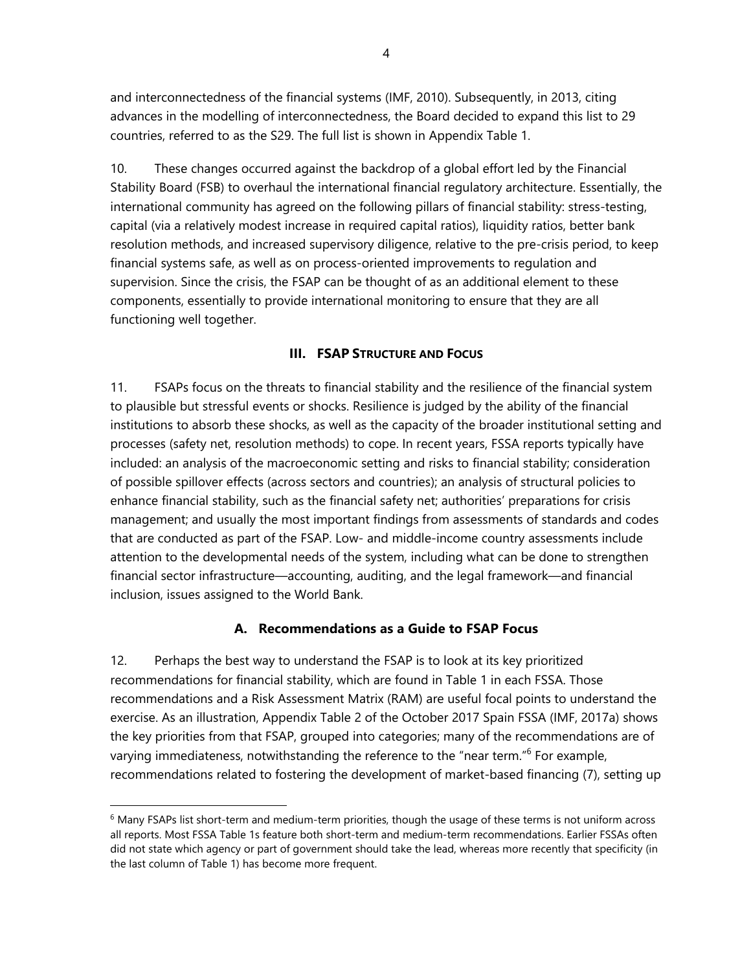and interconnectedness of the financial systems (IMF, 2010). Subsequently, in 2013, citing advances in the modelling of interconnectedness, the Board decided to expand this list to 29 countries, referred to as the S29. The full list is shown in Appendix Table 1.

10. These changes occurred against the backdrop of a global effort led by the Financial Stability Board (FSB) to overhaul the international financial regulatory architecture. Essentially, the international community has agreed on the following pillars of financial stability: stress-testing, capital (via a relatively modest increase in required capital ratios), liquidity ratios, better bank resolution methods, and increased supervisory diligence, relative to the pre-crisis period, to keep financial systems safe, as well as on process-oriented improvements to regulation and supervision. Since the crisis, the FSAP can be thought of as an additional element to these components, essentially to provide international monitoring to ensure that they are all functioning well together.

#### **III. FSAP STRUCTURE AND FOCUS**

11. FSAPs focus on the threats to financial stability and the resilience of the financial system to plausible but stressful events or shocks. Resilience is judged by the ability of the financial institutions to absorb these shocks, as well as the capacity of the broader institutional setting and processes (safety net, resolution methods) to cope. In recent years, FSSA reports typically have included: an analysis of the macroeconomic setting and risks to financial stability; consideration of possible spillover effects (across sectors and countries); an analysis of structural policies to enhance financial stability, such as the financial safety net; authorities' preparations for crisis management; and usually the most important findings from assessments of standards and codes that are conducted as part of the FSAP. Low- and middle-income country assessments include attention to the developmental needs of the system, including what can be done to strengthen financial sector infrastructure—accounting, auditing, and the legal framework—and financial inclusion, issues assigned to the World Bank.

#### **A. Recommendations as a Guide to FSAP Focus**

12. Perhaps the best way to understand the FSAP is to look at its key prioritized recommendations for financial stability, which are found in Table 1 in each FSSA. Those recommendations and a Risk Assessment Matrix (RAM) are useful focal points to understand the exercise. As an illustration, Appendix Table 2 of the October 2017 Spain FSSA (IMF, 2017a) shows the key priorities from that FSAP, grouped into categories; many of the recommendations are of varying immediateness, notwithstanding the reference to the "near term."<sup>6</sup> For example, recommendations related to fostering the development of market-based financing (7), setting up

 $\overline{a}$ 

 $6$  Many FSAPs list short-term and medium-term priorities, though the usage of these terms is not uniform across all reports. Most FSSA Table 1s feature both short-term and medium-term recommendations. Earlier FSSAs often did not state which agency or part of government should take the lead, whereas more recently that specificity (in the last column of Table 1) has become more frequent.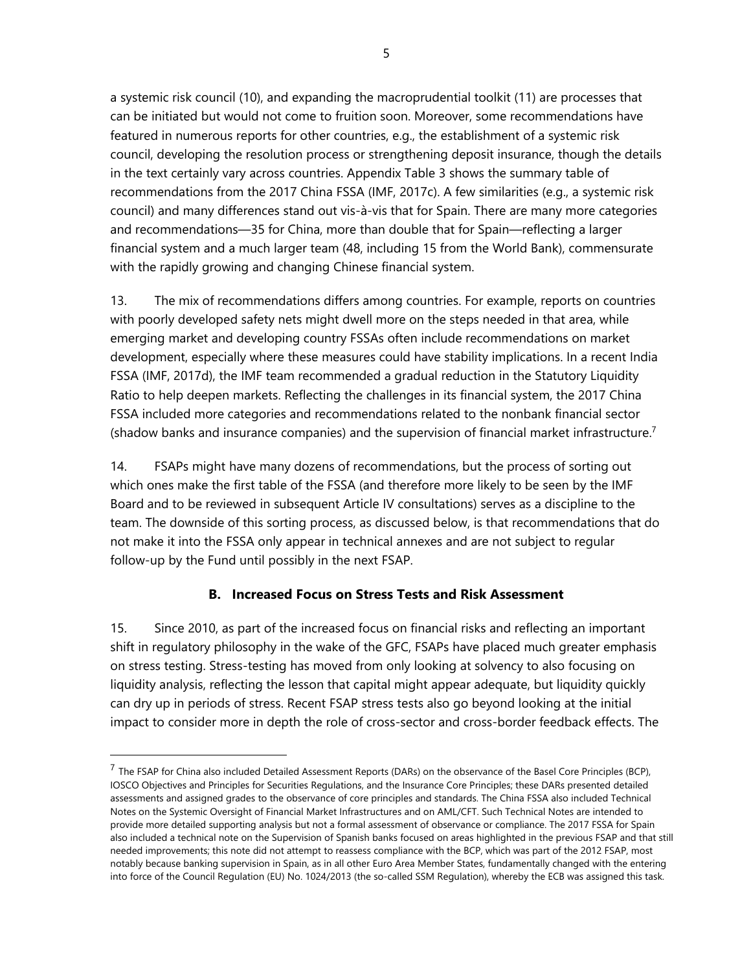a systemic risk council (10), and expanding the macroprudential toolkit (11) are processes that can be initiated but would not come to fruition soon. Moreover, some recommendations have featured in numerous reports for other countries, e.g., the establishment of a systemic risk council, developing the resolution process or strengthening deposit insurance, though the details in the text certainly vary across countries. Appendix Table 3 shows the summary table of recommendations from the 2017 China FSSA (IMF, 2017c). A few similarities (e.g., a systemic risk council) and many differences stand out vis-à-vis that for Spain. There are many more categories and recommendations—35 for China, more than double that for Spain—reflecting a larger financial system and a much larger team (48, including 15 from the World Bank), commensurate with the rapidly growing and changing Chinese financial system.

13. The mix of recommendations differs among countries. For example, reports on countries with poorly developed safety nets might dwell more on the steps needed in that area, while emerging market and developing country FSSAs often include recommendations on market development, especially where these measures could have stability implications. In a recent India FSSA (IMF, 2017d), the IMF team recommended a gradual reduction in the Statutory Liquidity Ratio to help deepen markets. Reflecting the challenges in its financial system, the 2017 China FSSA included more categories and recommendations related to the nonbank financial sector (shadow banks and insurance companies) and the supervision of financial market infrastructure.<sup>7</sup>

14. FSAPs might have many dozens of recommendations, but the process of sorting out which ones make the first table of the FSSA (and therefore more likely to be seen by the IMF Board and to be reviewed in subsequent Article IV consultations) serves as a discipline to the team. The downside of this sorting process, as discussed below, is that recommendations that do not make it into the FSSA only appear in technical annexes and are not subject to regular follow-up by the Fund until possibly in the next FSAP.

#### **B. Increased Focus on Stress Tests and Risk Assessment**

15. Since 2010, as part of the increased focus on financial risks and reflecting an important shift in regulatory philosophy in the wake of the GFC, FSAPs have placed much greater emphasis on stress testing. Stress-testing has moved from only looking at solvency to also focusing on liquidity analysis, reflecting the lesson that capital might appear adequate, but liquidity quickly can dry up in periods of stress. Recent FSAP stress tests also go beyond looking at the initial impact to consider more in depth the role of cross-sector and cross-border feedback effects. The

 $\overline{a}$ 

 $^7$  The FSAP for China also included Detailed Assessment Reports (DARs) on the observance of the Basel Core Principles (BCP), IOSCO Objectives and Principles for Securities Regulations, and the Insurance Core Principles; these DARs presented detailed assessments and assigned grades to the observance of core principles and standards. The China FSSA also included Technical Notes on the Systemic Oversight of Financial Market Infrastructures and on AML/CFT. Such Technical Notes are intended to provide more detailed supporting analysis but not a formal assessment of observance or compliance. The 2017 FSSA for Spain also included a technical note on the Supervision of Spanish banks focused on areas highlighted in the previous FSAP and that still needed improvements; this note did not attempt to reassess compliance with the BCP, which was part of the 2012 FSAP, most notably because banking supervision in Spain, as in all other Euro Area Member States, fundamentally changed with the entering into force of the Council Regulation (EU) No. 1024/2013 (the so-called SSM Regulation), whereby the ECB was assigned this task.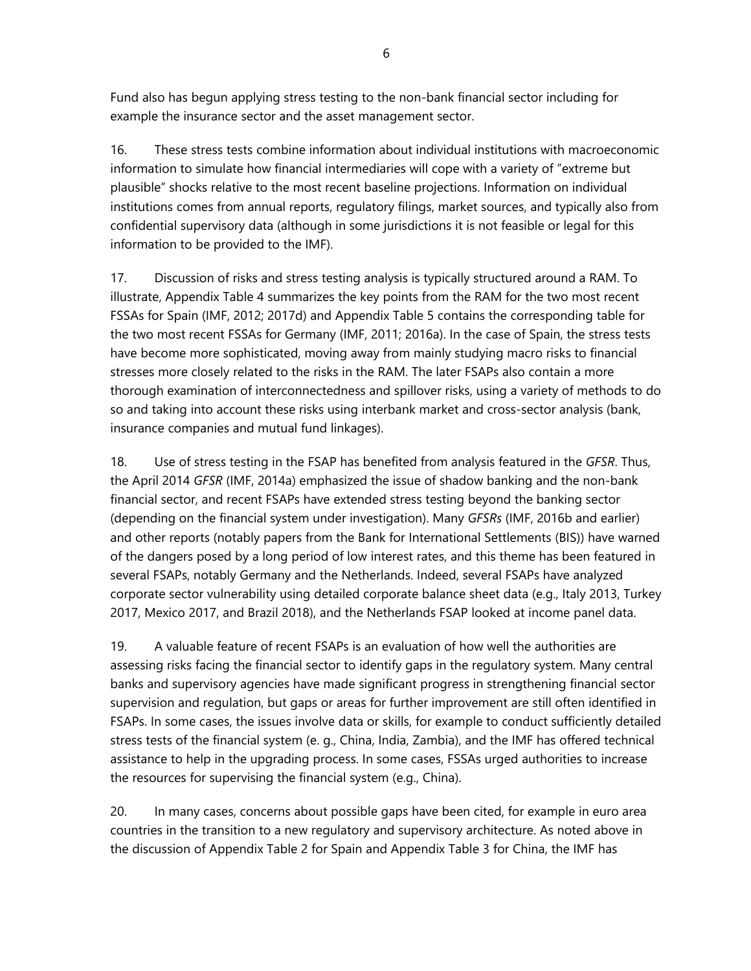6

Fund also has begun applying stress testing to the non-bank financial sector including for example the insurance sector and the asset management sector.

16. These stress tests combine information about individual institutions with macroeconomic information to simulate how financial intermediaries will cope with a variety of "extreme but plausible" shocks relative to the most recent baseline projections. Information on individual institutions comes from annual reports, regulatory filings, market sources, and typically also from confidential supervisory data (although in some jurisdictions it is not feasible or legal for this information to be provided to the IMF).

17. Discussion of risks and stress testing analysis is typically structured around a RAM. To illustrate, Appendix Table 4 summarizes the key points from the RAM for the two most recent FSSAs for Spain (IMF, 2012; 2017d) and Appendix Table 5 contains the corresponding table for the two most recent FSSAs for Germany (IMF, 2011; 2016a). In the case of Spain, the stress tests have become more sophisticated, moving away from mainly studying macro risks to financial stresses more closely related to the risks in the RAM. The later FSAPs also contain a more thorough examination of interconnectedness and spillover risks, using a variety of methods to do so and taking into account these risks using interbank market and cross-sector analysis (bank, insurance companies and mutual fund linkages).

18. Use of stress testing in the FSAP has benefited from analysis featured in the *GFSR*. Thus, the April 2014 *GFSR* (IMF, 2014a) emphasized the issue of shadow banking and the non-bank financial sector, and recent FSAPs have extended stress testing beyond the banking sector (depending on the financial system under investigation). Many *GFSRs* (IMF, 2016b and earlier) and other reports (notably papers from the Bank for International Settlements (BIS)) have warned of the dangers posed by a long period of low interest rates, and this theme has been featured in several FSAPs, notably Germany and the Netherlands. Indeed, several FSAPs have analyzed corporate sector vulnerability using detailed corporate balance sheet data (e.g., Italy 2013, Turkey 2017, Mexico 2017, and Brazil 2018), and the Netherlands FSAP looked at income panel data.

19. A valuable feature of recent FSAPs is an evaluation of how well the authorities are assessing risks facing the financial sector to identify gaps in the regulatory system. Many central banks and supervisory agencies have made significant progress in strengthening financial sector supervision and regulation, but gaps or areas for further improvement are still often identified in FSAPs. In some cases, the issues involve data or skills, for example to conduct sufficiently detailed stress tests of the financial system (e. g., China, India, Zambia), and the IMF has offered technical assistance to help in the upgrading process. In some cases, FSSAs urged authorities to increase the resources for supervising the financial system (e.g., China).

20. In many cases, concerns about possible gaps have been cited, for example in euro area countries in the transition to a new regulatory and supervisory architecture. As noted above in the discussion of Appendix Table 2 for Spain and Appendix Table 3 for China, the IMF has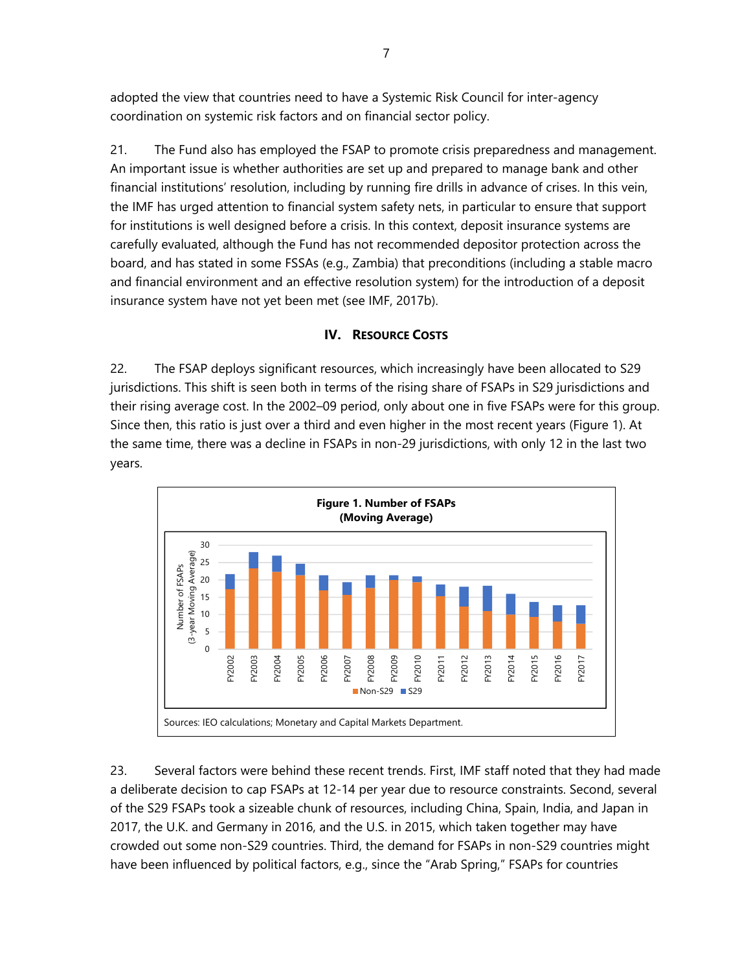adopted the view that countries need to have a Systemic Risk Council for inter-agency coordination on systemic risk factors and on financial sector policy.

21. The Fund also has employed the FSAP to promote crisis preparedness and management. An important issue is whether authorities are set up and prepared to manage bank and other financial institutions' resolution, including by running fire drills in advance of crises. In this vein, the IMF has urged attention to financial system safety nets, in particular to ensure that support for institutions is well designed before a crisis. In this context, deposit insurance systems are carefully evaluated, although the Fund has not recommended depositor protection across the board, and has stated in some FSSAs (e.g., Zambia) that preconditions (including a stable macro and financial environment and an effective resolution system) for the introduction of a deposit insurance system have not yet been met (see IMF, 2017b).

#### **IV. RESOURCE COSTS**

22. The FSAP deploys significant resources, which increasingly have been allocated to S29 jurisdictions. This shift is seen both in terms of the rising share of FSAPs in S29 jurisdictions and their rising average cost. In the 2002–09 period, only about one in five FSAPs were for this group. Since then, this ratio is just over a third and even higher in the most recent years (Figure 1). At the same time, there was a decline in FSAPs in non-29 jurisdictions, with only 12 in the last two years.



23. Several factors were behind these recent trends. First, IMF staff noted that they had made a deliberate decision to cap FSAPs at 12-14 per year due to resource constraints. Second, several of the S29 FSAPs took a sizeable chunk of resources, including China, Spain, India, and Japan in 2017, the U.K. and Germany in 2016, and the U.S. in 2015, which taken together may have crowded out some non-S29 countries. Third, the demand for FSAPs in non-S29 countries might have been influenced by political factors, e.g., since the "Arab Spring," FSAPs for countries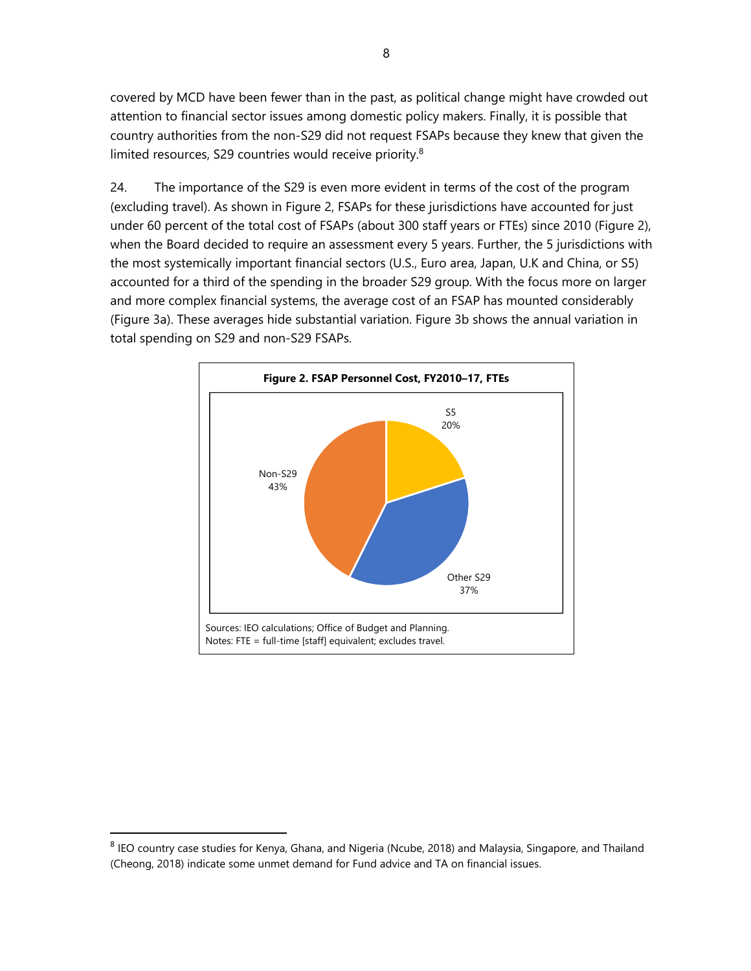covered by MCD have been fewer than in the past, as political change might have crowded out attention to financial sector issues among domestic policy makers. Finally, it is possible that country authorities from the non-S29 did not request FSAPs because they knew that given the limited resources, S29 countries would receive priority.8

24. The importance of the S29 is even more evident in terms of the cost of the program (excluding travel). As shown in Figure 2, FSAPs for these jurisdictions have accounted for just under 60 percent of the total cost of FSAPs (about 300 staff years or FTEs) since 2010 (Figure 2), when the Board decided to require an assessment every 5 years. Further, the 5 jurisdictions with the most systemically important financial sectors (U.S., Euro area, Japan, U.K and China, or S5) accounted for a third of the spending in the broader S29 group. With the focus more on larger and more complex financial systems, the average cost of an FSAP has mounted considerably (Figure 3a). These averages hide substantial variation. Figure 3b shows the annual variation in total spending on S29 and non-S29 FSAPs.



 $\overline{a}$ 

<sup>8</sup> IEO country case studies for Kenya, Ghana, and Nigeria (Ncube, 2018) and Malaysia, Singapore, and Thailand (Cheong, 2018) indicate some unmet demand for Fund advice and TA on financial issues.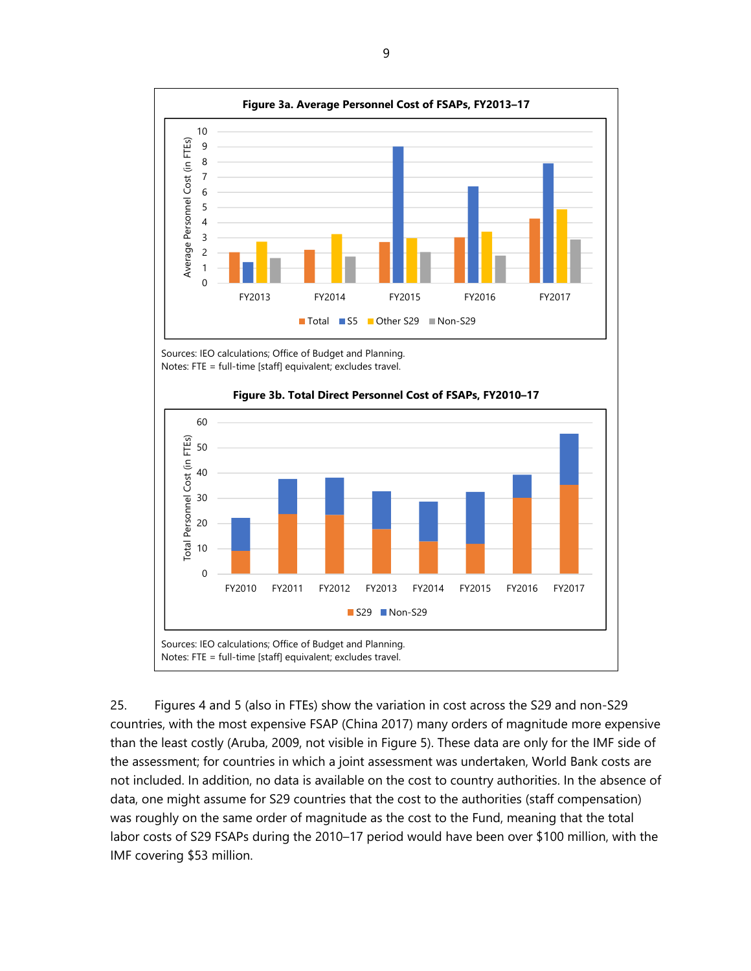

Sources: IEO calculations; Office of Budget and Planning. Notes: FTE = full-time [staff] equivalent; excludes travel.



**Figure 3b. Total Direct Personnel Cost of FSAPs, FY2010–17** 

25. Figures 4 and 5 (also in FTEs) show the variation in cost across the S29 and non-S29 countries, with the most expensive FSAP (China 2017) many orders of magnitude more expensive than the least costly (Aruba, 2009, not visible in Figure 5). These data are only for the IMF side of the assessment; for countries in which a joint assessment was undertaken, World Bank costs are not included. In addition, no data is available on the cost to country authorities. In the absence of data, one might assume for S29 countries that the cost to the authorities (staff compensation) was roughly on the same order of magnitude as the cost to the Fund, meaning that the total labor costs of S29 FSAPs during the 2010–17 period would have been over \$100 million, with the IMF covering \$53 million.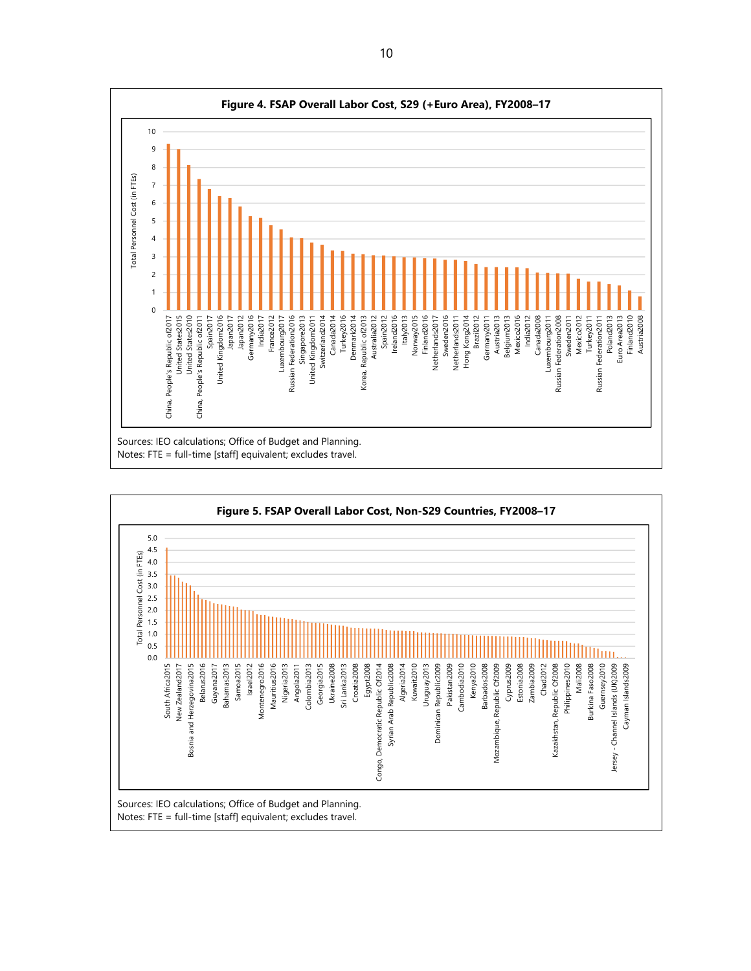

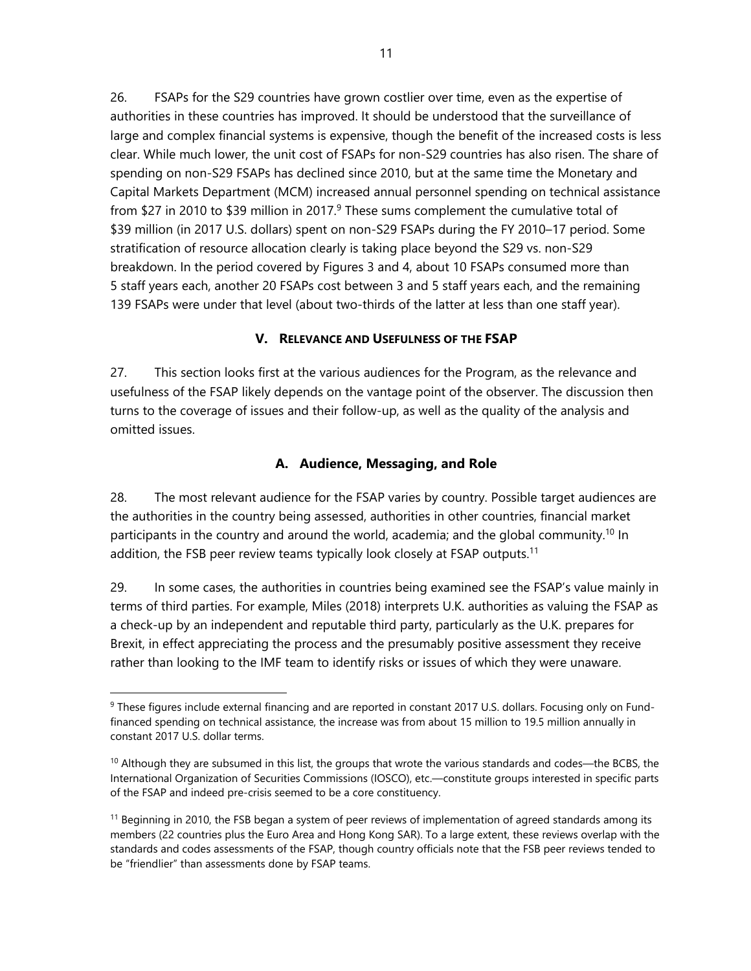26. FSAPs for the S29 countries have grown costlier over time, even as the expertise of authorities in these countries has improved. It should be understood that the surveillance of large and complex financial systems is expensive, though the benefit of the increased costs is less clear. While much lower, the unit cost of FSAPs for non-S29 countries has also risen. The share of spending on non-S29 FSAPs has declined since 2010, but at the same time the Monetary and Capital Markets Department (MCM) increased annual personnel spending on technical assistance from \$27 in 2010 to \$39 million in 2017.<sup>9</sup> These sums complement the cumulative total of \$39 million (in 2017 U.S. dollars) spent on non-S29 FSAPs during the FY 2010–17 period. Some stratification of resource allocation clearly is taking place beyond the S29 vs. non-S29 breakdown. In the period covered by Figures 3 and 4, about 10 FSAPs consumed more than 5 staff years each, another 20 FSAPs cost between 3 and 5 staff years each, and the remaining 139 FSAPs were under that level (about two-thirds of the latter at less than one staff year).

#### **V. RELEVANCE AND USEFULNESS OF THE FSAP**

27. This section looks first at the various audiences for the Program, as the relevance and usefulness of the FSAP likely depends on the vantage point of the observer. The discussion then turns to the coverage of issues and their follow-up, as well as the quality of the analysis and omitted issues.

#### **A. Audience, Messaging, and Role**

28. The most relevant audience for the FSAP varies by country. Possible target audiences are the authorities in the country being assessed, authorities in other countries, financial market participants in the country and around the world, academia; and the global community.<sup>10</sup> In addition, the FSB peer review teams typically look closely at FSAP outputs.<sup>11</sup>

29. In some cases, the authorities in countries being examined see the FSAP's value mainly in terms of third parties. For example, Miles (2018) interprets U.K. authorities as valuing the FSAP as a check-up by an independent and reputable third party, particularly as the U.K. prepares for Brexit, in effect appreciating the process and the presumably positive assessment they receive rather than looking to the IMF team to identify risks or issues of which they were unaware.

1

<sup>&</sup>lt;sup>9</sup> These figures include external financing and are reported in constant 2017 U.S. dollars. Focusing only on Fundfinanced spending on technical assistance, the increase was from about 15 million to 19.5 million annually in constant 2017 U.S. dollar terms.

 $10$  Although they are subsumed in this list, the groups that wrote the various standards and codes—the BCBS, the International Organization of Securities Commissions (IOSCO), etc.—constitute groups interested in specific parts of the FSAP and indeed pre-crisis seemed to be a core constituency.

<sup>&</sup>lt;sup>11</sup> Beginning in 2010, the FSB began a system of peer reviews of implementation of agreed standards among its members (22 countries plus the Euro Area and Hong Kong SAR). To a large extent, these reviews overlap with the standards and codes assessments of the FSAP, though country officials note that the FSB peer reviews tended to be "friendlier" than assessments done by FSAP teams.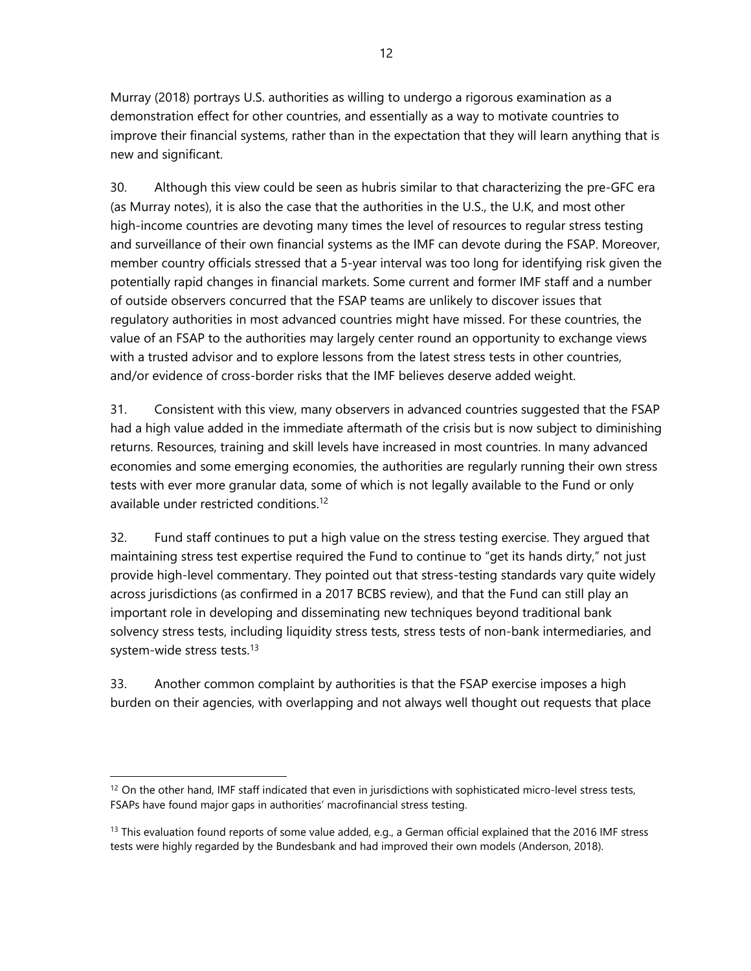Murray (2018) portrays U.S. authorities as willing to undergo a rigorous examination as a demonstration effect for other countries, and essentially as a way to motivate countries to improve their financial systems, rather than in the expectation that they will learn anything that is new and significant.

30. Although this view could be seen as hubris similar to that characterizing the pre-GFC era (as Murray notes), it is also the case that the authorities in the U.S., the U.K, and most other high-income countries are devoting many times the level of resources to regular stress testing and surveillance of their own financial systems as the IMF can devote during the FSAP. Moreover, member country officials stressed that a 5-year interval was too long for identifying risk given the potentially rapid changes in financial markets. Some current and former IMF staff and a number of outside observers concurred that the FSAP teams are unlikely to discover issues that regulatory authorities in most advanced countries might have missed. For these countries, the value of an FSAP to the authorities may largely center round an opportunity to exchange views with a trusted advisor and to explore lessons from the latest stress tests in other countries, and/or evidence of cross-border risks that the IMF believes deserve added weight.

31. Consistent with this view, many observers in advanced countries suggested that the FSAP had a high value added in the immediate aftermath of the crisis but is now subject to diminishing returns. Resources, training and skill levels have increased in most countries. In many advanced economies and some emerging economies, the authorities are regularly running their own stress tests with ever more granular data, some of which is not legally available to the Fund or only available under restricted conditions.12

32. Fund staff continues to put a high value on the stress testing exercise. They argued that maintaining stress test expertise required the Fund to continue to "get its hands dirty," not just provide high-level commentary. They pointed out that stress-testing standards vary quite widely across jurisdictions (as confirmed in a 2017 BCBS review), and that the Fund can still play an important role in developing and disseminating new techniques beyond traditional bank solvency stress tests, including liquidity stress tests, stress tests of non-bank intermediaries, and system-wide stress tests.<sup>13</sup>

33. Another common complaint by authorities is that the FSAP exercise imposes a high burden on their agencies, with overlapping and not always well thought out requests that place

 $12$  On the other hand, IMF staff indicated that even in jurisdictions with sophisticated micro-level stress tests, FSAPs have found major gaps in authorities' macrofinancial stress testing.

 $13$  This evaluation found reports of some value added, e.g., a German official explained that the 2016 IMF stress tests were highly regarded by the Bundesbank and had improved their own models (Anderson, 2018).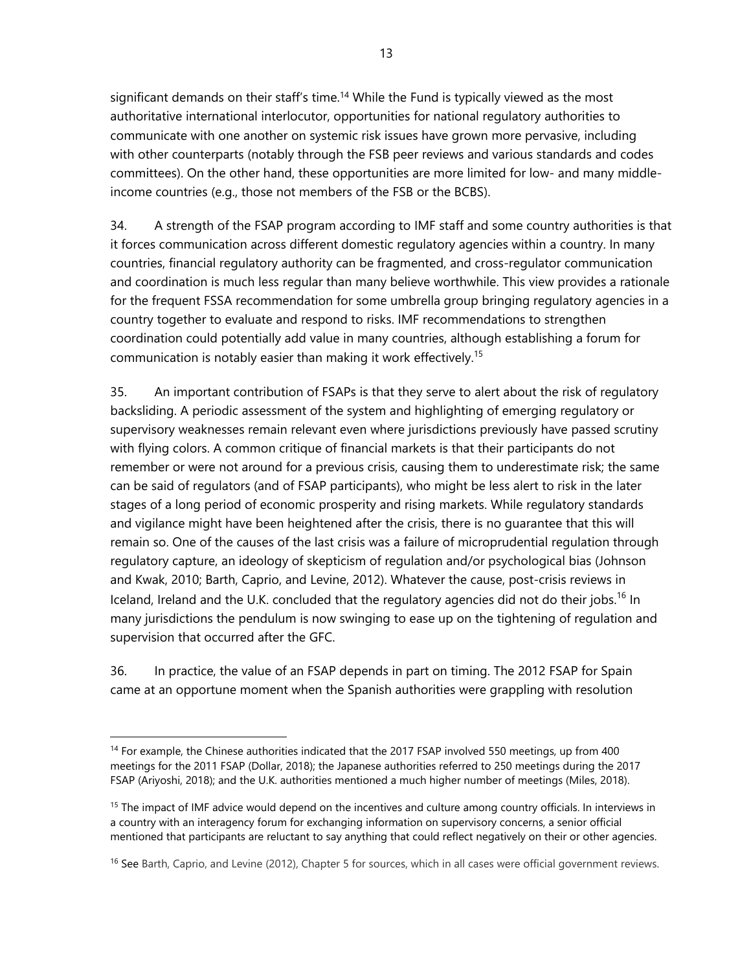significant demands on their staff's time.<sup>14</sup> While the Fund is typically viewed as the most authoritative international interlocutor, opportunities for national regulatory authorities to communicate with one another on systemic risk issues have grown more pervasive, including with other counterparts (notably through the FSB peer reviews and various standards and codes committees). On the other hand, these opportunities are more limited for low- and many middleincome countries (e.g., those not members of the FSB or the BCBS).

34. A strength of the FSAP program according to IMF staff and some country authorities is that it forces communication across different domestic regulatory agencies within a country. In many countries, financial regulatory authority can be fragmented, and cross-regulator communication and coordination is much less regular than many believe worthwhile. This view provides a rationale for the frequent FSSA recommendation for some umbrella group bringing regulatory agencies in a country together to evaluate and respond to risks. IMF recommendations to strengthen coordination could potentially add value in many countries, although establishing a forum for communication is notably easier than making it work effectively. 15

35. An important contribution of FSAPs is that they serve to alert about the risk of regulatory backsliding. A periodic assessment of the system and highlighting of emerging regulatory or supervisory weaknesses remain relevant even where jurisdictions previously have passed scrutiny with flying colors. A common critique of financial markets is that their participants do not remember or were not around for a previous crisis, causing them to underestimate risk; the same can be said of regulators (and of FSAP participants), who might be less alert to risk in the later stages of a long period of economic prosperity and rising markets. While regulatory standards and vigilance might have been heightened after the crisis, there is no guarantee that this will remain so. One of the causes of the last crisis was a failure of microprudential regulation through regulatory capture, an ideology of skepticism of regulation and/or psychological bias (Johnson and Kwak, 2010; Barth, Caprio, and Levine, 2012). Whatever the cause, post-crisis reviews in Iceland, Ireland and the U.K. concluded that the regulatory agencies did not do their jobs.<sup>16</sup> In many jurisdictions the pendulum is now swinging to ease up on the tightening of regulation and supervision that occurred after the GFC.

36. In practice, the value of an FSAP depends in part on timing. The 2012 FSAP for Spain came at an opportune moment when the Spanish authorities were grappling with resolution

<sup>&</sup>lt;sup>14</sup> For example, the Chinese authorities indicated that the 2017 FSAP involved 550 meetings, up from 400 meetings for the 2011 FSAP (Dollar, 2018); the Japanese authorities referred to 250 meetings during the 2017 FSAP (Ariyoshi, 2018); and the U.K. authorities mentioned a much higher number of meetings (Miles, 2018).

<sup>&</sup>lt;sup>15</sup> The impact of IMF advice would depend on the incentives and culture among country officials. In interviews in a country with an interagency forum for exchanging information on supervisory concerns, a senior official mentioned that participants are reluctant to say anything that could reflect negatively on their or other agencies.

<sup>&</sup>lt;sup>16</sup> See Barth, Caprio, and Levine (2012), Chapter 5 for sources, which in all cases were official government reviews.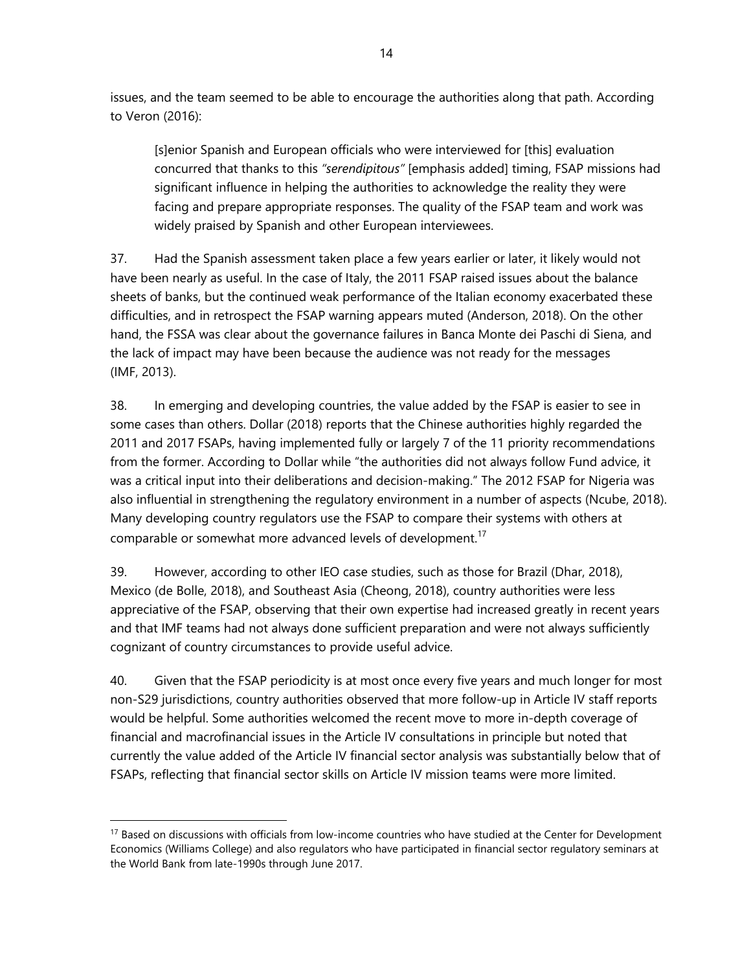issues, and the team seemed to be able to encourage the authorities along that path. According to Veron (2016):

[s]enior Spanish and European officials who were interviewed for [this] evaluation concurred that thanks to this *"serendipitous"* [emphasis added] timing, FSAP missions had significant influence in helping the authorities to acknowledge the reality they were facing and prepare appropriate responses. The quality of the FSAP team and work was widely praised by Spanish and other European interviewees.

37. Had the Spanish assessment taken place a few years earlier or later, it likely would not have been nearly as useful. In the case of Italy, the 2011 FSAP raised issues about the balance sheets of banks, but the continued weak performance of the Italian economy exacerbated these difficulties, and in retrospect the FSAP warning appears muted (Anderson, 2018). On the other hand, the FSSA was clear about the governance failures in Banca Monte dei Paschi di Siena, and the lack of impact may have been because the audience was not ready for the messages (IMF, 2013).

38. In emerging and developing countries, the value added by the FSAP is easier to see in some cases than others. Dollar (2018) reports that the Chinese authorities highly regarded the 2011 and 2017 FSAPs, having implemented fully or largely 7 of the 11 priority recommendations from the former. According to Dollar while "the authorities did not always follow Fund advice, it was a critical input into their deliberations and decision-making." The 2012 FSAP for Nigeria was also influential in strengthening the regulatory environment in a number of aspects (Ncube, 2018). Many developing country regulators use the FSAP to compare their systems with others at comparable or somewhat more advanced levels of development.<sup>17</sup>

39. However, according to other IEO case studies, such as those for Brazil (Dhar, 2018), Mexico (de Bolle, 2018), and Southeast Asia (Cheong, 2018), country authorities were less appreciative of the FSAP, observing that their own expertise had increased greatly in recent years and that IMF teams had not always done sufficient preparation and were not always sufficiently cognizant of country circumstances to provide useful advice.

40. Given that the FSAP periodicity is at most once every five years and much longer for most non-S29 jurisdictions, country authorities observed that more follow-up in Article IV staff reports would be helpful. Some authorities welcomed the recent move to more in-depth coverage of financial and macrofinancial issues in the Article IV consultations in principle but noted that currently the value added of the Article IV financial sector analysis was substantially below that of FSAPs, reflecting that financial sector skills on Article IV mission teams were more limited.

<sup>&</sup>lt;sup>17</sup> Based on discussions with officials from low-income countries who have studied at the Center for Development Economics (Williams College) and also regulators who have participated in financial sector regulatory seminars at the World Bank from late-1990s through June 2017.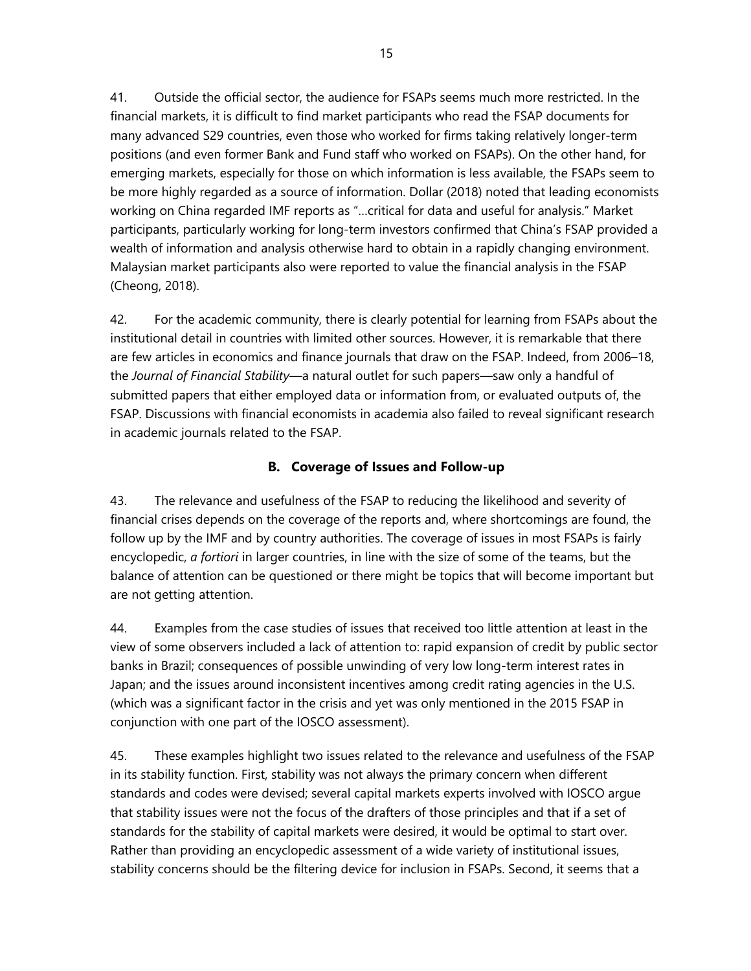41. Outside the official sector, the audience for FSAPs seems much more restricted. In the financial markets, it is difficult to find market participants who read the FSAP documents for many advanced S29 countries, even those who worked for firms taking relatively longer-term positions (and even former Bank and Fund staff who worked on FSAPs). On the other hand, for emerging markets, especially for those on which information is less available, the FSAPs seem to be more highly regarded as a source of information. Dollar (2018) noted that leading economists working on China regarded IMF reports as "…critical for data and useful for analysis." Market participants, particularly working for long-term investors confirmed that China's FSAP provided a wealth of information and analysis otherwise hard to obtain in a rapidly changing environment. Malaysian market participants also were reported to value the financial analysis in the FSAP (Cheong, 2018).

42. For the academic community, there is clearly potential for learning from FSAPs about the institutional detail in countries with limited other sources. However, it is remarkable that there are few articles in economics and finance journals that draw on the FSAP. Indeed, from 2006–18, the *Journal of Financial Stability*—a natural outlet for such papers—saw only a handful of submitted papers that either employed data or information from, or evaluated outputs of, the FSAP. Discussions with financial economists in academia also failed to reveal significant research in academic journals related to the FSAP.

#### **B. Coverage of Issues and Follow-up**

43. The relevance and usefulness of the FSAP to reducing the likelihood and severity of financial crises depends on the coverage of the reports and, where shortcomings are found, the follow up by the IMF and by country authorities. The coverage of issues in most FSAPs is fairly encyclopedic, *a fortiori* in larger countries, in line with the size of some of the teams, but the balance of attention can be questioned or there might be topics that will become important but are not getting attention.

44. Examples from the case studies of issues that received too little attention at least in the view of some observers included a lack of attention to: rapid expansion of credit by public sector banks in Brazil; consequences of possible unwinding of very low long-term interest rates in Japan; and the issues around inconsistent incentives among credit rating agencies in the U.S. (which was a significant factor in the crisis and yet was only mentioned in the 2015 FSAP in conjunction with one part of the IOSCO assessment).

45. These examples highlight two issues related to the relevance and usefulness of the FSAP in its stability function. First, stability was not always the primary concern when different standards and codes were devised; several capital markets experts involved with IOSCO argue that stability issues were not the focus of the drafters of those principles and that if a set of standards for the stability of capital markets were desired, it would be optimal to start over. Rather than providing an encyclopedic assessment of a wide variety of institutional issues, stability concerns should be the filtering device for inclusion in FSAPs. Second, it seems that a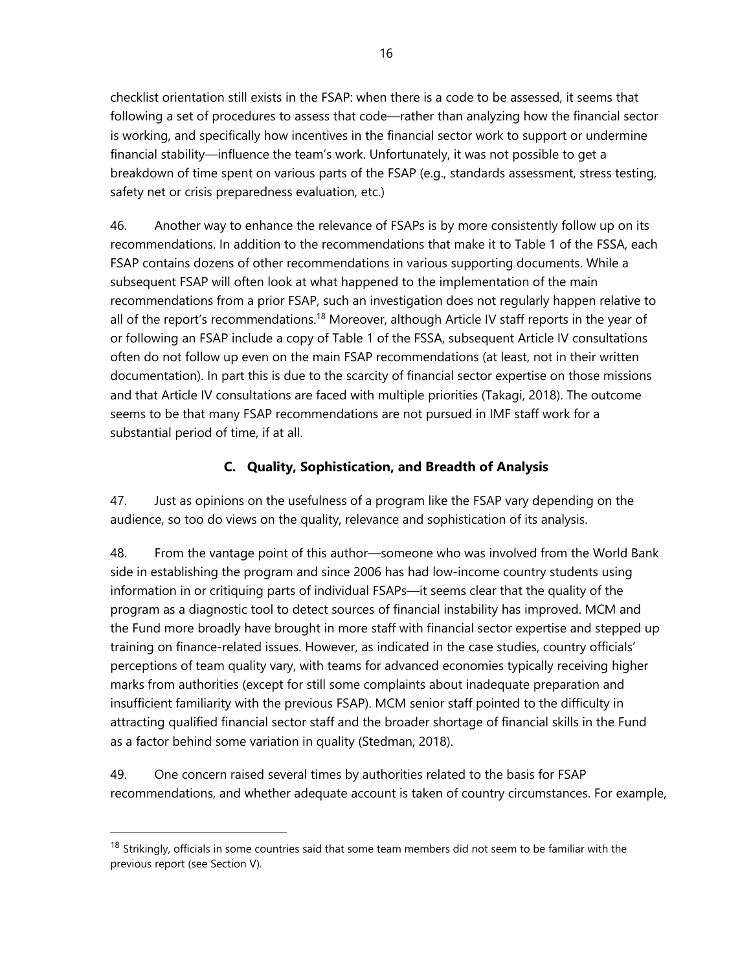checklist orientation still exists in the FSAP: when there is a code to be assessed, it seems that following a set of procedures to assess that code—rather than analyzing how the financial sector is working, and specifically how incentives in the financial sector work to support or undermine financial stability—influence the team's work. Unfortunately, it was not possible to get a breakdown of time spent on various parts of the FSAP (e.g., standards assessment, stress testing, safety net or crisis preparedness evaluation, etc.)

46. Another way to enhance the relevance of FSAPs is by more consistently follow up on its recommendations. In addition to the recommendations that make it to Table 1 of the FSSA, each FSAP contains dozens of other recommendations in various supporting documents. While a subsequent FSAP will often look at what happened to the implementation of the main recommendations from a prior FSAP, such an investigation does not regularly happen relative to all of the report's recommendations.<sup>18</sup> Moreover, although Article IV staff reports in the year of or following an FSAP include a copy of Table 1 of the FSSA, subsequent Article IV consultations often do not follow up even on the main FSAP recommendations (at least, not in their written documentation). In part this is due to the scarcity of financial sector expertise on those missions and that Article IV consultations are faced with multiple priorities (Takagi, 2018). The outcome seems to be that many FSAP recommendations are not pursued in IMF staff work for a substantial period of time, if at all.

#### **C. Quality, Sophistication, and Breadth of Analysis**

47. Just as opinions on the usefulness of a program like the FSAP vary depending on the audience, so too do views on the quality, relevance and sophistication of its analysis.

48. From the vantage point of this author—someone who was involved from the World Bank side in establishing the program and since 2006 has had low-income country students using information in or critiquing parts of individual FSAPs—it seems clear that the quality of the program as a diagnostic tool to detect sources of financial instability has improved. MCM and the Fund more broadly have brought in more staff with financial sector expertise and stepped up training on finance-related issues. However, as indicated in the case studies, country officials' perceptions of team quality vary, with teams for advanced economies typically receiving higher marks from authorities (except for still some complaints about inadequate preparation and insufficient familiarity with the previous FSAP). MCM senior staff pointed to the difficulty in attracting qualified financial sector staff and the broader shortage of financial skills in the Fund as a factor behind some variation in quality (Stedman, 2018).

49. One concern raised several times by authorities related to the basis for FSAP recommendations, and whether adequate account is taken of country circumstances. For example,

<sup>&</sup>lt;sup>18</sup> Strikingly, officials in some countries said that some team members did not seem to be familiar with the previous report (see Section V).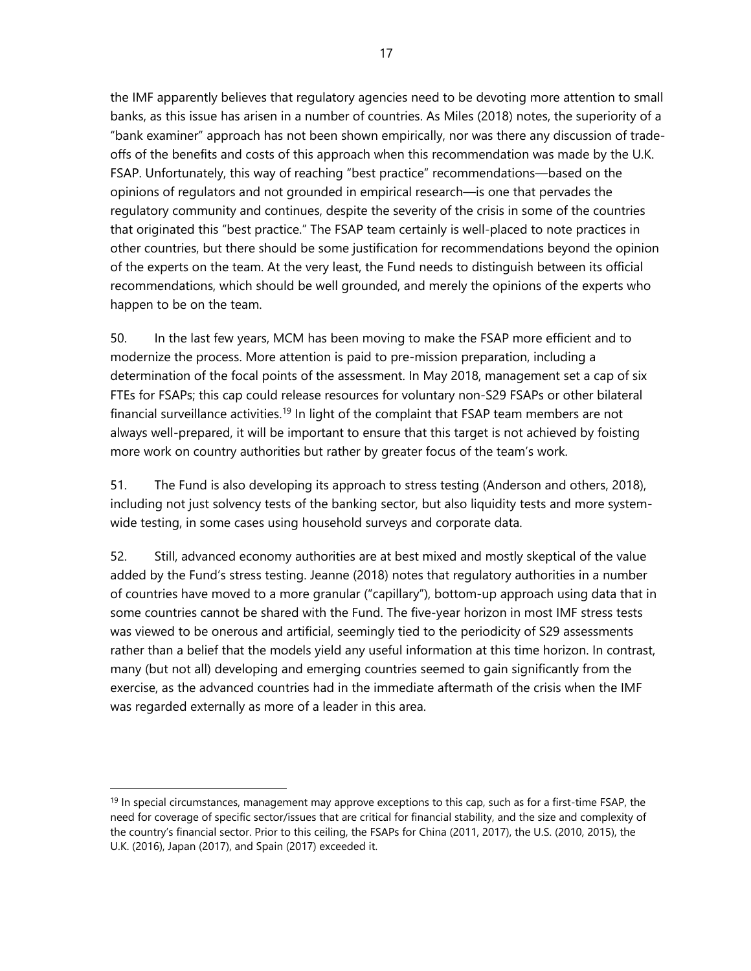the IMF apparently believes that regulatory agencies need to be devoting more attention to small banks, as this issue has arisen in a number of countries. As Miles (2018) notes, the superiority of a "bank examiner" approach has not been shown empirically, nor was there any discussion of tradeoffs of the benefits and costs of this approach when this recommendation was made by the U.K. FSAP. Unfortunately, this way of reaching "best practice" recommendations—based on the opinions of regulators and not grounded in empirical research—is one that pervades the regulatory community and continues, despite the severity of the crisis in some of the countries that originated this "best practice." The FSAP team certainly is well-placed to note practices in other countries, but there should be some justification for recommendations beyond the opinion of the experts on the team. At the very least, the Fund needs to distinguish between its official recommendations, which should be well grounded, and merely the opinions of the experts who happen to be on the team.

50. In the last few years, MCM has been moving to make the FSAP more efficient and to modernize the process. More attention is paid to pre-mission preparation, including a determination of the focal points of the assessment. In May 2018, management set a cap of six FTEs for FSAPs; this cap could release resources for voluntary non-S29 FSAPs or other bilateral financial surveillance activities.<sup>19</sup> In light of the complaint that FSAP team members are not always well-prepared, it will be important to ensure that this target is not achieved by foisting more work on country authorities but rather by greater focus of the team's work.

51. The Fund is also developing its approach to stress testing (Anderson and others, 2018), including not just solvency tests of the banking sector, but also liquidity tests and more systemwide testing, in some cases using household surveys and corporate data.

52. Still, advanced economy authorities are at best mixed and mostly skeptical of the value added by the Fund's stress testing. Jeanne (2018) notes that regulatory authorities in a number of countries have moved to a more granular ("capillary"), bottom-up approach using data that in some countries cannot be shared with the Fund. The five-year horizon in most IMF stress tests was viewed to be onerous and artificial, seemingly tied to the periodicity of S29 assessments rather than a belief that the models yield any useful information at this time horizon. In contrast, many (but not all) developing and emerging countries seemed to gain significantly from the exercise, as the advanced countries had in the immediate aftermath of the crisis when the IMF was regarded externally as more of a leader in this area.

<sup>&</sup>lt;sup>19</sup> In special circumstances, management may approve exceptions to this cap, such as for a first-time FSAP, the need for coverage of specific sector/issues that are critical for financial stability, and the size and complexity of the country's financial sector. Prior to this ceiling, the FSAPs for China (2011, 2017), the U.S. (2010, 2015), the U.K. (2016), Japan (2017), and Spain (2017) exceeded it.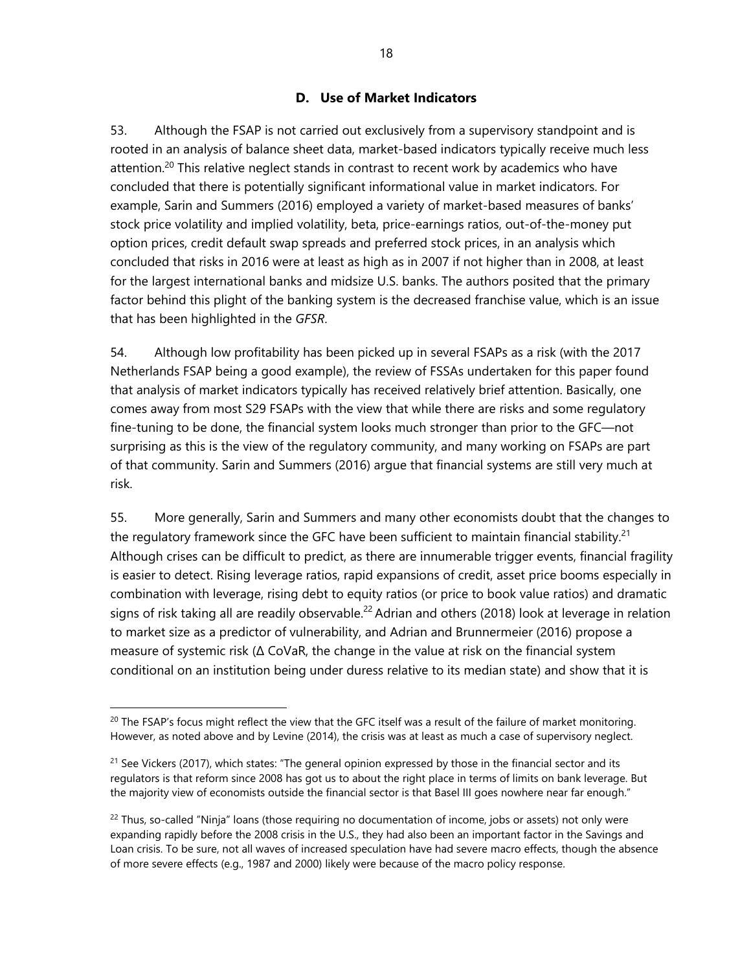#### **D. Use of Market Indicators**

53. Although the FSAP is not carried out exclusively from a supervisory standpoint and is rooted in an analysis of balance sheet data, market-based indicators typically receive much less attention.<sup>20</sup> This relative neglect stands in contrast to recent work by academics who have concluded that there is potentially significant informational value in market indicators. For example, Sarin and Summers (2016) employed a variety of market-based measures of banks' stock price volatility and implied volatility, beta, price-earnings ratios, out-of-the-money put option prices, credit default swap spreads and preferred stock prices, in an analysis which concluded that risks in 2016 were at least as high as in 2007 if not higher than in 2008, at least for the largest international banks and midsize U.S. banks. The authors posited that the primary factor behind this plight of the banking system is the decreased franchise value, which is an issue that has been highlighted in the *GFSR*.

54. Although low profitability has been picked up in several FSAPs as a risk (with the 2017 Netherlands FSAP being a good example), the review of FSSAs undertaken for this paper found that analysis of market indicators typically has received relatively brief attention. Basically, one comes away from most S29 FSAPs with the view that while there are risks and some regulatory fine-tuning to be done, the financial system looks much stronger than prior to the GFC—not surprising as this is the view of the regulatory community, and many working on FSAPs are part of that community. Sarin and Summers (2016) argue that financial systems are still very much at risk.

55. More generally, Sarin and Summers and many other economists doubt that the changes to the regulatory framework since the GFC have been sufficient to maintain financial stability.<sup>21</sup> Although crises can be difficult to predict, as there are innumerable trigger events, financial fragility is easier to detect. Rising leverage ratios, rapid expansions of credit, asset price booms especially in combination with leverage, rising debt to equity ratios (or price to book value ratios) and dramatic signs of risk taking all are readily observable.<sup>22</sup> Adrian and others (2018) look at leverage in relation to market size as a predictor of vulnerability, and Adrian and Brunnermeier (2016) propose a measure of systemic risk (Δ CoVaR, the change in the value at risk on the financial system conditional on an institution being under duress relative to its median state) and show that it is

 $^{20}$  The FSAP's focus might reflect the view that the GFC itself was a result of the failure of market monitoring. However, as noted above and by Levine (2014), the crisis was at least as much a case of supervisory neglect.

 $21$  See Vickers (2017), which states: "The general opinion expressed by those in the financial sector and its regulators is that reform since 2008 has got us to about the right place in terms of limits on bank leverage. But the majority view of economists outside the financial sector is that Basel III goes nowhere near far enough."

 $22$  Thus, so-called "Ninja" loans (those requiring no documentation of income, jobs or assets) not only were expanding rapidly before the 2008 crisis in the U.S., they had also been an important factor in the Savings and Loan crisis. To be sure, not all waves of increased speculation have had severe macro effects, though the absence of more severe effects (e.g., 1987 and 2000) likely were because of the macro policy response.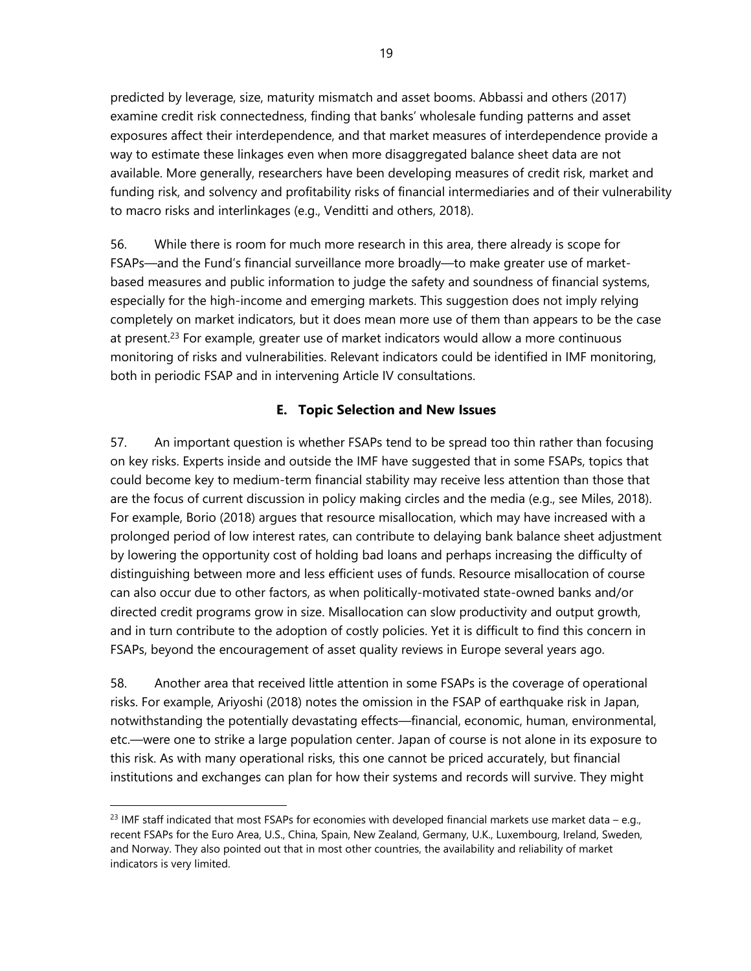predicted by leverage, size, maturity mismatch and asset booms. Abbassi and others (2017) examine credit risk connectedness, finding that banks' wholesale funding patterns and asset exposures affect their interdependence, and that market measures of interdependence provide a way to estimate these linkages even when more disaggregated balance sheet data are not available. More generally, researchers have been developing measures of credit risk, market and funding risk, and solvency and profitability risks of financial intermediaries and of their vulnerability to macro risks and interlinkages (e.g., Venditti and others, 2018).

56. While there is room for much more research in this area, there already is scope for FSAPs—and the Fund's financial surveillance more broadly—to make greater use of marketbased measures and public information to judge the safety and soundness of financial systems, especially for the high-income and emerging markets. This suggestion does not imply relying completely on market indicators, but it does mean more use of them than appears to be the case at present.<sup>23</sup> For example, greater use of market indicators would allow a more continuous monitoring of risks and vulnerabilities. Relevant indicators could be identified in IMF monitoring, both in periodic FSAP and in intervening Article IV consultations.

#### **E. Topic Selection and New Issues**

57. An important question is whether FSAPs tend to be spread too thin rather than focusing on key risks. Experts inside and outside the IMF have suggested that in some FSAPs, topics that could become key to medium-term financial stability may receive less attention than those that are the focus of current discussion in policy making circles and the media (e.g., see Miles, 2018). For example, Borio (2018) argues that resource misallocation, which may have increased with a prolonged period of low interest rates, can contribute to delaying bank balance sheet adjustment by lowering the opportunity cost of holding bad loans and perhaps increasing the difficulty of distinguishing between more and less efficient uses of funds. Resource misallocation of course can also occur due to other factors, as when politically-motivated state-owned banks and/or directed credit programs grow in size. Misallocation can slow productivity and output growth, and in turn contribute to the adoption of costly policies. Yet it is difficult to find this concern in FSAPs, beyond the encouragement of asset quality reviews in Europe several years ago.

58. Another area that received little attention in some FSAPs is the coverage of operational risks. For example, Ariyoshi (2018) notes the omission in the FSAP of earthquake risk in Japan, notwithstanding the potentially devastating effects—financial, economic, human, environmental, etc.—were one to strike a large population center. Japan of course is not alone in its exposure to this risk. As with many operational risks, this one cannot be priced accurately, but financial institutions and exchanges can plan for how their systems and records will survive. They might

<sup>&</sup>lt;sup>23</sup> IMF staff indicated that most FSAPs for economies with developed financial markets use market data – e.g., recent FSAPs for the Euro Area, U.S., China, Spain, New Zealand, Germany, U.K., Luxembourg, Ireland, Sweden, and Norway. They also pointed out that in most other countries, the availability and reliability of market indicators is very limited.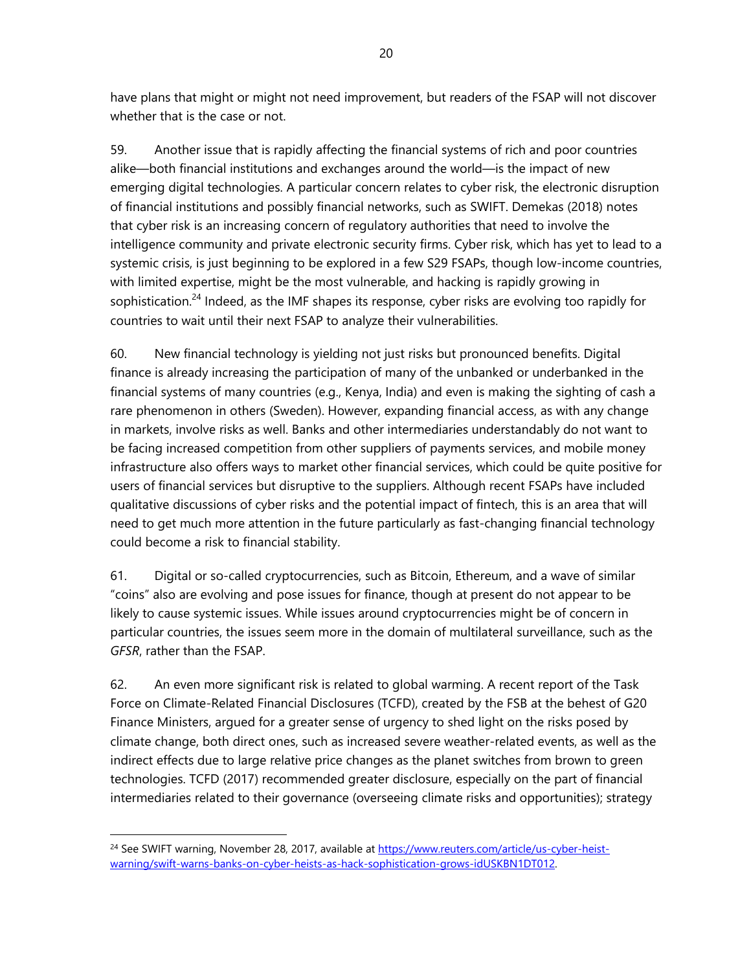have plans that might or might not need improvement, but readers of the FSAP will not discover whether that is the case or not.

59. Another issue that is rapidly affecting the financial systems of rich and poor countries alike—both financial institutions and exchanges around the world—is the impact of new emerging digital technologies. A particular concern relates to cyber risk, the electronic disruption of financial institutions and possibly financial networks, such as SWIFT. Demekas (2018) notes that cyber risk is an increasing concern of regulatory authorities that need to involve the intelligence community and private electronic security firms. Cyber risk, which has yet to lead to a systemic crisis, is just beginning to be explored in a few S29 FSAPs, though low-income countries, with limited expertise, might be the most vulnerable, and hacking is rapidly growing in sophistication.<sup>24</sup> Indeed, as the IMF shapes its response, cyber risks are evolving too rapidly for countries to wait until their next FSAP to analyze their vulnerabilities.

60. New financial technology is yielding not just risks but pronounced benefits. Digital finance is already increasing the participation of many of the unbanked or underbanked in the financial systems of many countries (e.g., Kenya, India) and even is making the sighting of cash a rare phenomenon in others (Sweden). However, expanding financial access, as with any change in markets, involve risks as well. Banks and other intermediaries understandably do not want to be facing increased competition from other suppliers of payments services, and mobile money infrastructure also offers ways to market other financial services, which could be quite positive for users of financial services but disruptive to the suppliers. Although recent FSAPs have included qualitative discussions of cyber risks and the potential impact of fintech, this is an area that will need to get much more attention in the future particularly as fast-changing financial technology could become a risk to financial stability.

61. Digital or so-called cryptocurrencies, such as Bitcoin, Ethereum, and a wave of similar "coins" also are evolving and pose issues for finance, though at present do not appear to be likely to cause systemic issues. While issues around cryptocurrencies might be of concern in particular countries, the issues seem more in the domain of multilateral surveillance, such as the *GFSR*, rather than the FSAP.

62. An even more significant risk is related to global warming. A recent report of the Task Force on Climate-Related Financial Disclosures (TCFD), created by the FSB at the behest of G20 Finance Ministers, argued for a greater sense of urgency to shed light on the risks posed by climate change, both direct ones, such as increased severe weather-related events, as well as the indirect effects due to large relative price changes as the planet switches from brown to green technologies. TCFD (2017) recommended greater disclosure, especially on the part of financial intermediaries related to their governance (overseeing climate risks and opportunities); strategy

<sup>&</sup>lt;sup>24</sup> See SWIFT warning, November 28, 2017, available at https://www.reuters.com/article/us-cyber-heistwarning/swift-warns-banks-on-cyber-heists-as-hack-sophistication-grows-idUSKBN1DT012.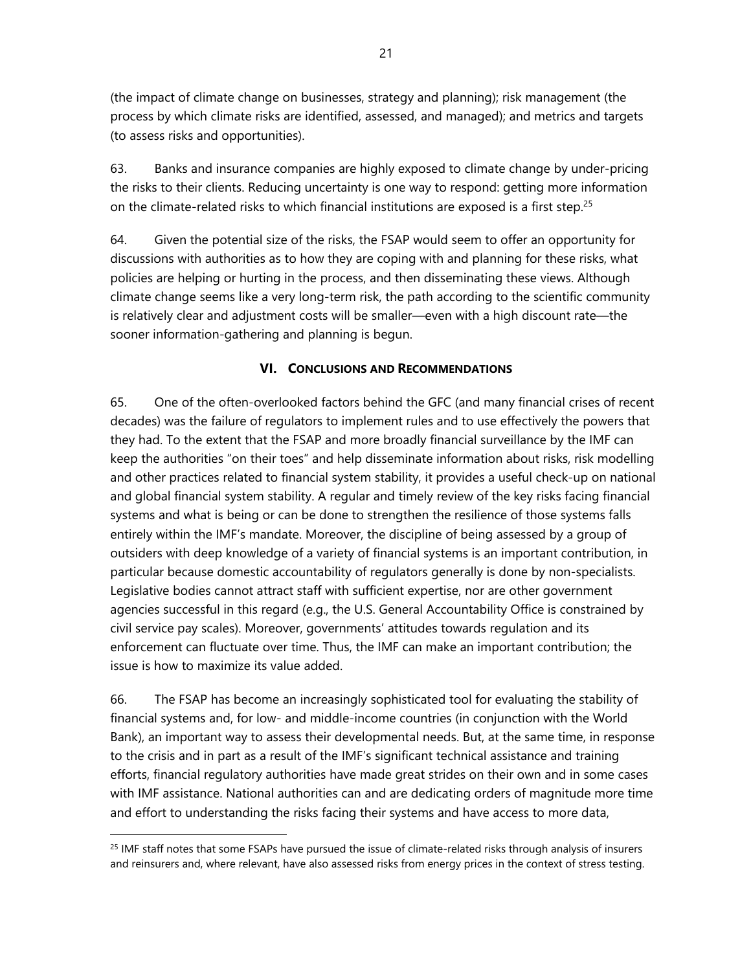(the impact of climate change on businesses, strategy and planning); risk management (the process by which climate risks are identified, assessed, and managed); and metrics and targets (to assess risks and opportunities).

63. Banks and insurance companies are highly exposed to climate change by under-pricing the risks to their clients. Reducing uncertainty is one way to respond: getting more information on the climate-related risks to which financial institutions are exposed is a first step.<sup>25</sup>

64. Given the potential size of the risks, the FSAP would seem to offer an opportunity for discussions with authorities as to how they are coping with and planning for these risks, what policies are helping or hurting in the process, and then disseminating these views. Although climate change seems like a very long-term risk, the path according to the scientific community is relatively clear and adjustment costs will be smaller—even with a high discount rate—the sooner information-gathering and planning is begun.

#### **VI. CONCLUSIONS AND RECOMMENDATIONS**

65. One of the often-overlooked factors behind the GFC (and many financial crises of recent decades) was the failure of regulators to implement rules and to use effectively the powers that they had. To the extent that the FSAP and more broadly financial surveillance by the IMF can keep the authorities "on their toes" and help disseminate information about risks, risk modelling and other practices related to financial system stability, it provides a useful check-up on national and global financial system stability. A regular and timely review of the key risks facing financial systems and what is being or can be done to strengthen the resilience of those systems falls entirely within the IMF's mandate. Moreover, the discipline of being assessed by a group of outsiders with deep knowledge of a variety of financial systems is an important contribution, in particular because domestic accountability of regulators generally is done by non-specialists. Legislative bodies cannot attract staff with sufficient expertise, nor are other government agencies successful in this regard (e.g., the U.S. General Accountability Office is constrained by civil service pay scales). Moreover, governments' attitudes towards regulation and its enforcement can fluctuate over time. Thus, the IMF can make an important contribution; the issue is how to maximize its value added.

66. The FSAP has become an increasingly sophisticated tool for evaluating the stability of financial systems and, for low- and middle-income countries (in conjunction with the World Bank), an important way to assess their developmental needs. But, at the same time, in response to the crisis and in part as a result of the IMF's significant technical assistance and training efforts, financial regulatory authorities have made great strides on their own and in some cases with IMF assistance. National authorities can and are dedicating orders of magnitude more time and effort to understanding the risks facing their systems and have access to more data,

<sup>&</sup>lt;sup>25</sup> IMF staff notes that some FSAPs have pursued the issue of climate-related risks through analysis of insurers and reinsurers and, where relevant, have also assessed risks from energy prices in the context of stress testing.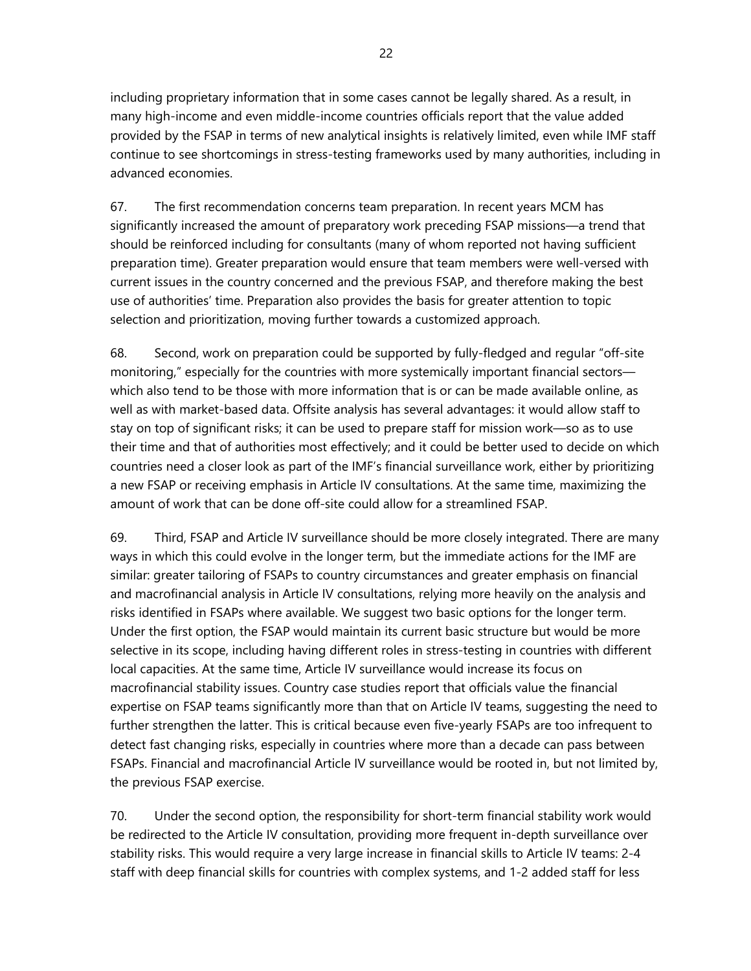including proprietary information that in some cases cannot be legally shared. As a result, in many high-income and even middle-income countries officials report that the value added provided by the FSAP in terms of new analytical insights is relatively limited, even while IMF staff continue to see shortcomings in stress-testing frameworks used by many authorities, including in advanced economies.

67. The first recommendation concerns team preparation. In recent years MCM has significantly increased the amount of preparatory work preceding FSAP missions—a trend that should be reinforced including for consultants (many of whom reported not having sufficient preparation time). Greater preparation would ensure that team members were well-versed with current issues in the country concerned and the previous FSAP, and therefore making the best use of authorities' time. Preparation also provides the basis for greater attention to topic selection and prioritization, moving further towards a customized approach.

68. Second, work on preparation could be supported by fully-fledged and regular "off-site monitoring," especially for the countries with more systemically important financial sectors which also tend to be those with more information that is or can be made available online, as well as with market-based data. Offsite analysis has several advantages: it would allow staff to stay on top of significant risks; it can be used to prepare staff for mission work—so as to use their time and that of authorities most effectively; and it could be better used to decide on which countries need a closer look as part of the IMF's financial surveillance work, either by prioritizing a new FSAP or receiving emphasis in Article IV consultations. At the same time, maximizing the amount of work that can be done off-site could allow for a streamlined FSAP.

69. Third, FSAP and Article IV surveillance should be more closely integrated. There are many ways in which this could evolve in the longer term, but the immediate actions for the IMF are similar: greater tailoring of FSAPs to country circumstances and greater emphasis on financial and macrofinancial analysis in Article IV consultations, relying more heavily on the analysis and risks identified in FSAPs where available. We suggest two basic options for the longer term. Under the first option, the FSAP would maintain its current basic structure but would be more selective in its scope, including having different roles in stress-testing in countries with different local capacities. At the same time, Article IV surveillance would increase its focus on macrofinancial stability issues. Country case studies report that officials value the financial expertise on FSAP teams significantly more than that on Article IV teams, suggesting the need to further strengthen the latter. This is critical because even five-yearly FSAPs are too infrequent to detect fast changing risks, especially in countries where more than a decade can pass between FSAPs. Financial and macrofinancial Article IV surveillance would be rooted in, but not limited by, the previous FSAP exercise.

70. Under the second option, the responsibility for short-term financial stability work would be redirected to the Article IV consultation, providing more frequent in-depth surveillance over stability risks. This would require a very large increase in financial skills to Article IV teams: 2-4 staff with deep financial skills for countries with complex systems, and 1-2 added staff for less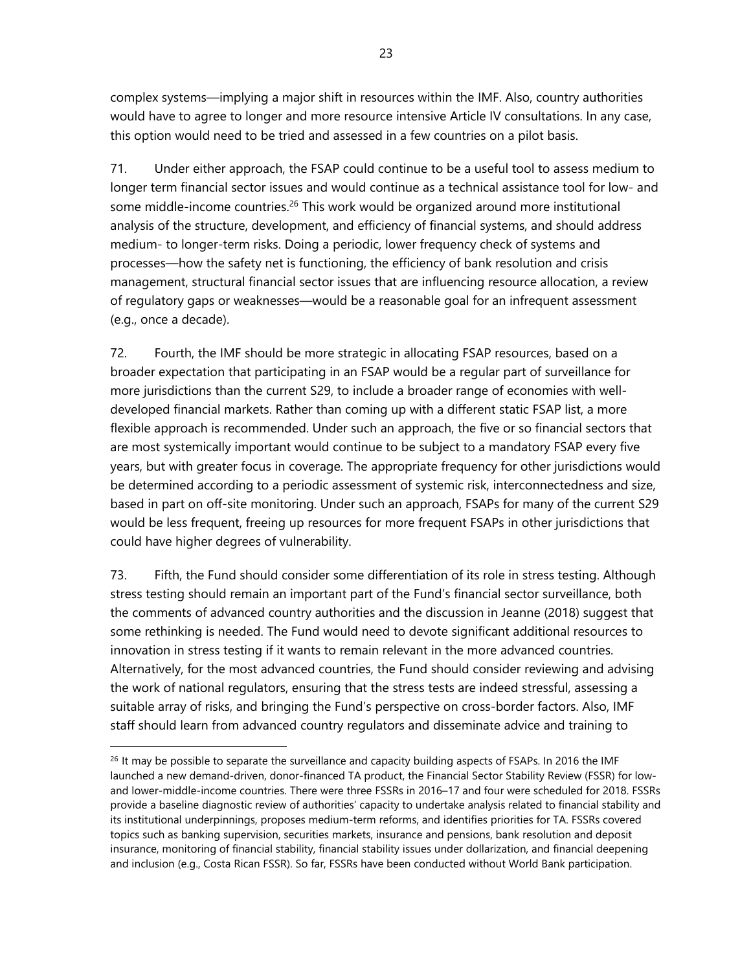complex systems—implying a major shift in resources within the IMF. Also, country authorities would have to agree to longer and more resource intensive Article IV consultations. In any case, this option would need to be tried and assessed in a few countries on a pilot basis.

71. Under either approach, the FSAP could continue to be a useful tool to assess medium to longer term financial sector issues and would continue as a technical assistance tool for low- and some middle-income countries.<sup>26</sup> This work would be organized around more institutional analysis of the structure, development, and efficiency of financial systems, and should address medium- to longer-term risks. Doing a periodic, lower frequency check of systems and processes—how the safety net is functioning, the efficiency of bank resolution and crisis management, structural financial sector issues that are influencing resource allocation, a review of regulatory gaps or weaknesses—would be a reasonable goal for an infrequent assessment (e.g., once a decade).

72. Fourth, the IMF should be more strategic in allocating FSAP resources, based on a broader expectation that participating in an FSAP would be a regular part of surveillance for more jurisdictions than the current S29, to include a broader range of economies with welldeveloped financial markets. Rather than coming up with a different static FSAP list, a more flexible approach is recommended. Under such an approach, the five or so financial sectors that are most systemically important would continue to be subject to a mandatory FSAP every five years, but with greater focus in coverage. The appropriate frequency for other jurisdictions would be determined according to a periodic assessment of systemic risk, interconnectedness and size, based in part on off-site monitoring. Under such an approach, FSAPs for many of the current S29 would be less frequent, freeing up resources for more frequent FSAPs in other jurisdictions that could have higher degrees of vulnerability.

73. Fifth, the Fund should consider some differentiation of its role in stress testing. Although stress testing should remain an important part of the Fund's financial sector surveillance, both the comments of advanced country authorities and the discussion in Jeanne (2018) suggest that some rethinking is needed. The Fund would need to devote significant additional resources to innovation in stress testing if it wants to remain relevant in the more advanced countries. Alternatively, for the most advanced countries, the Fund should consider reviewing and advising the work of national regulators, ensuring that the stress tests are indeed stressful, assessing a suitable array of risks, and bringing the Fund's perspective on cross-border factors. Also, IMF staff should learn from advanced country regulators and disseminate advice and training to

 $\overline{a}$ 

 $^{26}$  It may be possible to separate the surveillance and capacity building aspects of FSAPs. In 2016 the IMF launched a new demand-driven, donor-financed TA product, the Financial Sector Stability Review (FSSR) for lowand lower-middle-income countries. There were three FSSRs in 2016–17 and four were scheduled for 2018. FSSRs provide a baseline diagnostic review of authorities' capacity to undertake analysis related to financial stability and its institutional underpinnings, proposes medium-term reforms, and identifies priorities for TA. FSSRs covered topics such as banking supervision, securities markets, insurance and pensions, bank resolution and deposit insurance, monitoring of financial stability, financial stability issues under dollarization, and financial deepening and inclusion (e.g., Costa Rican FSSR). So far, FSSRs have been conducted without World Bank participation.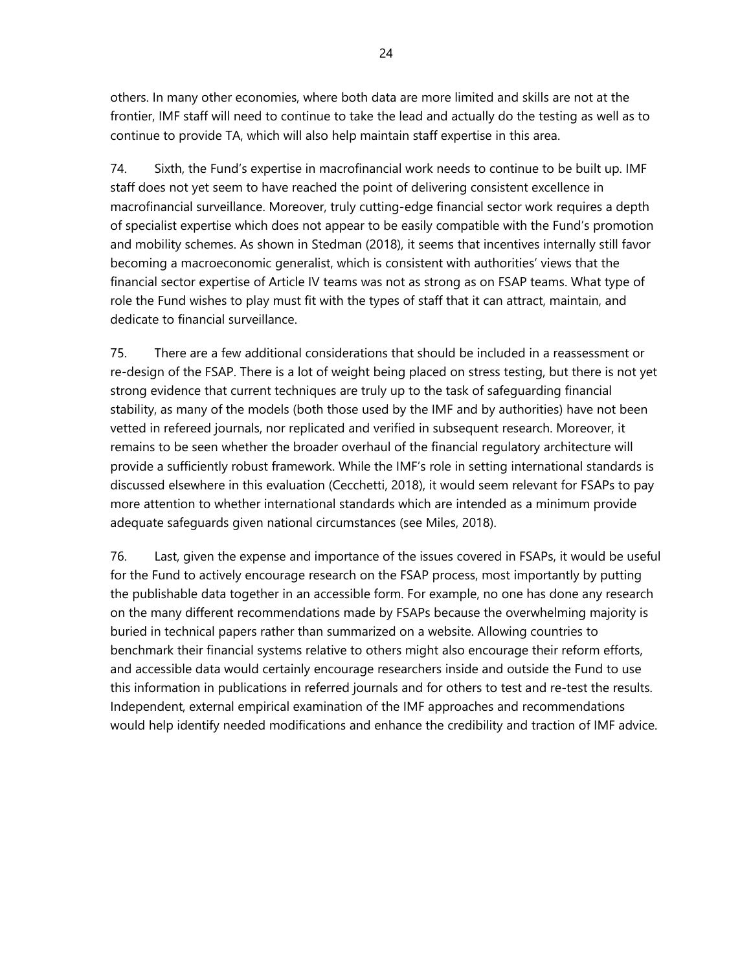others. In many other economies, where both data are more limited and skills are not at the frontier, IMF staff will need to continue to take the lead and actually do the testing as well as to continue to provide TA, which will also help maintain staff expertise in this area.

74. Sixth, the Fund's expertise in macrofinancial work needs to continue to be built up. IMF staff does not yet seem to have reached the point of delivering consistent excellence in macrofinancial surveillance. Moreover, truly cutting-edge financial sector work requires a depth of specialist expertise which does not appear to be easily compatible with the Fund's promotion and mobility schemes. As shown in Stedman (2018), it seems that incentives internally still favor becoming a macroeconomic generalist, which is consistent with authorities' views that the financial sector expertise of Article IV teams was not as strong as on FSAP teams. What type of role the Fund wishes to play must fit with the types of staff that it can attract, maintain, and dedicate to financial surveillance.

75. There are a few additional considerations that should be included in a reassessment or re-design of the FSAP. There is a lot of weight being placed on stress testing, but there is not yet strong evidence that current techniques are truly up to the task of safeguarding financial stability, as many of the models (both those used by the IMF and by authorities) have not been vetted in refereed journals, nor replicated and verified in subsequent research. Moreover, it remains to be seen whether the broader overhaul of the financial regulatory architecture will provide a sufficiently robust framework. While the IMF's role in setting international standards is discussed elsewhere in this evaluation (Cecchetti, 2018), it would seem relevant for FSAPs to pay more attention to whether international standards which are intended as a minimum provide adequate safeguards given national circumstances (see Miles, 2018).

76. Last, given the expense and importance of the issues covered in FSAPs, it would be useful for the Fund to actively encourage research on the FSAP process, most importantly by putting the publishable data together in an accessible form. For example, no one has done any research on the many different recommendations made by FSAPs because the overwhelming majority is buried in technical papers rather than summarized on a website. Allowing countries to benchmark their financial systems relative to others might also encourage their reform efforts, and accessible data would certainly encourage researchers inside and outside the Fund to use this information in publications in referred journals and for others to test and re-test the results. Independent, external empirical examination of the IMF approaches and recommendations would help identify needed modifications and enhance the credibility and traction of IMF advice.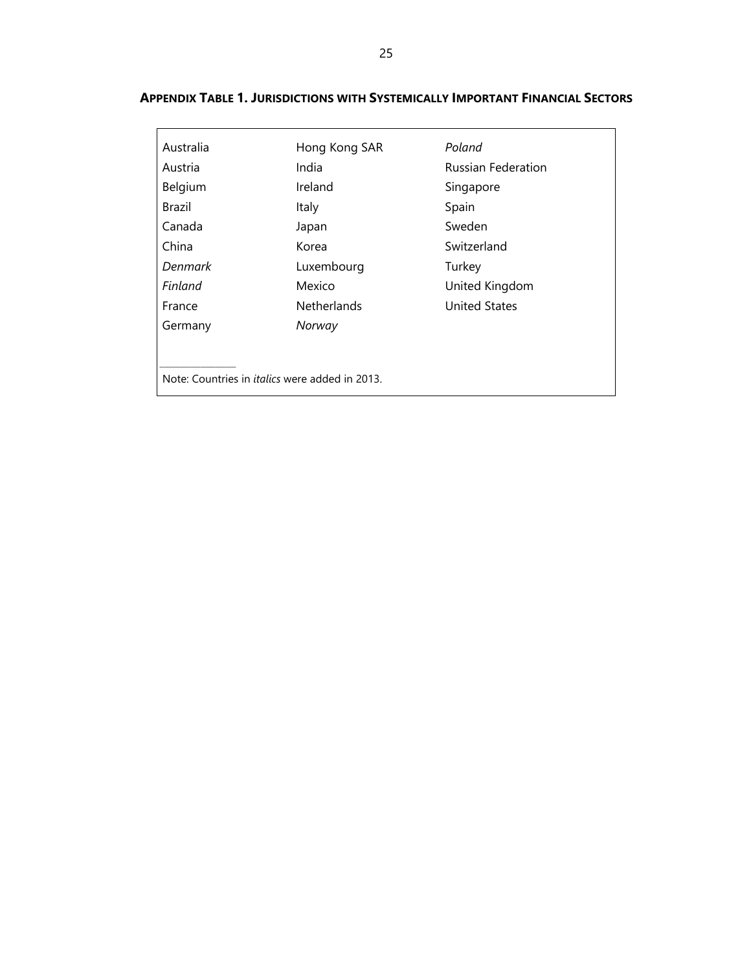| <b>APPENDIX TABLE 1. JURISDICTIONS WITH SYSTEMICALLY IMPORTANT FINANCIAL SECTORS</b> |  |
|--------------------------------------------------------------------------------------|--|
|--------------------------------------------------------------------------------------|--|

| Australia                                             | Hong Kong SAR      | Poland                    |
|-------------------------------------------------------|--------------------|---------------------------|
| Austria                                               | India              | <b>Russian Federation</b> |
| Belgium                                               | Ireland            | Singapore                 |
| Brazil                                                | Italy              | Spain                     |
| Canada                                                | Japan              | Sweden                    |
| China                                                 | Korea              | Switzerland               |
| <b>Denmark</b>                                        | Luxembourg         | Turkey                    |
| Finland                                               | Mexico             | United Kingdom            |
| France                                                | <b>Netherlands</b> | <b>United States</b>      |
| Germany                                               | Norway             |                           |
|                                                       |                    |                           |
|                                                       |                    |                           |
| Note: Countries in <i>italics</i> were added in 2013. |                    |                           |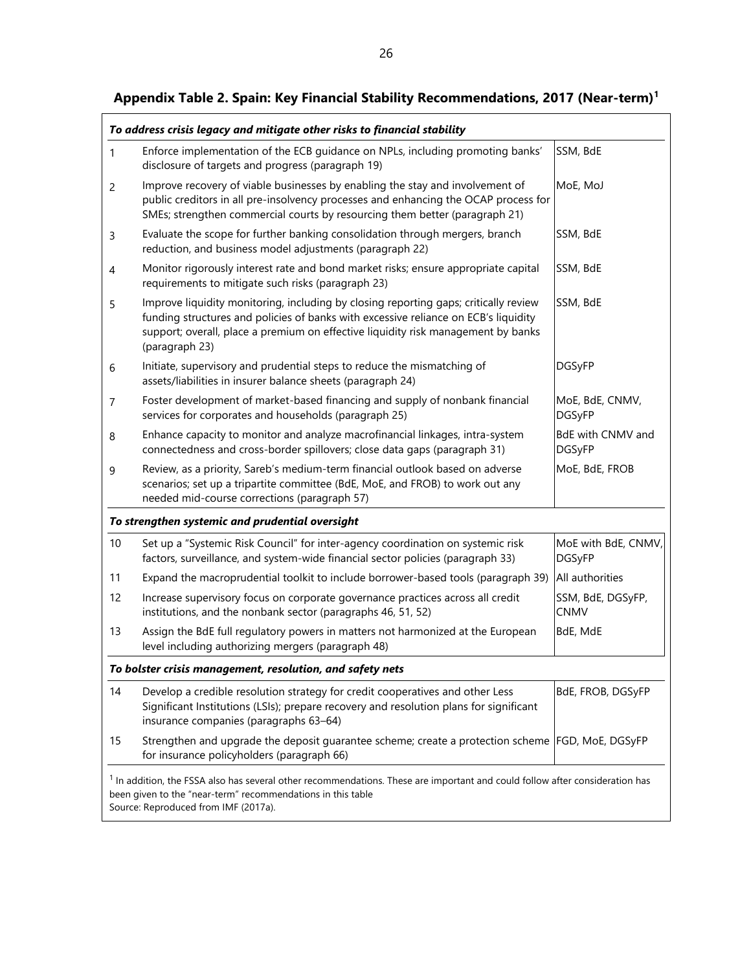|                | To address crisis legacy and mitigate other risks to financial stability                                                                                                                                                                                                           |                                      |
|----------------|------------------------------------------------------------------------------------------------------------------------------------------------------------------------------------------------------------------------------------------------------------------------------------|--------------------------------------|
| 1              | Enforce implementation of the ECB guidance on NPLs, including promoting banks'<br>disclosure of targets and progress (paragraph 19)                                                                                                                                                | SSM, BdE                             |
| $\overline{2}$ | Improve recovery of viable businesses by enabling the stay and involvement of<br>public creditors in all pre-insolvency processes and enhancing the OCAP process for<br>SMEs; strengthen commercial courts by resourcing them better (paragraph 21)                                | MoE, MoJ                             |
| 3              | Evaluate the scope for further banking consolidation through mergers, branch<br>reduction, and business model adjustments (paragraph 22)                                                                                                                                           | SSM, BdE                             |
| 4              | Monitor rigorously interest rate and bond market risks; ensure appropriate capital<br>requirements to mitigate such risks (paragraph 23)                                                                                                                                           | SSM, BdE                             |
| 5              | Improve liquidity monitoring, including by closing reporting gaps; critically review<br>funding structures and policies of banks with excessive reliance on ECB's liquidity<br>support; overall, place a premium on effective liquidity risk management by banks<br>(paragraph 23) | SSM, BdE                             |
| 6              | Initiate, supervisory and prudential steps to reduce the mismatching of<br>assets/liabilities in insurer balance sheets (paragraph 24)                                                                                                                                             | <b>DGSyFP</b>                        |
| 7              | Foster development of market-based financing and supply of nonbank financial<br>services for corporates and households (paragraph 25)                                                                                                                                              | MoE, BdE, CNMV,<br><b>DGSyFP</b>     |
| 8              | Enhance capacity to monitor and analyze macrofinancial linkages, intra-system<br>connectedness and cross-border spillovers; close data gaps (paragraph 31)                                                                                                                         | BdE with CNMV and<br><b>DGSyFP</b>   |
| 9              | Review, as a priority, Sareb's medium-term financial outlook based on adverse<br>scenarios; set up a tripartite committee (BdE, MoE, and FROB) to work out any<br>needed mid-course corrections (paragraph 57)                                                                     | MoE, BdE, FROB                       |
|                | To strengthen systemic and prudential oversight                                                                                                                                                                                                                                    |                                      |
| 10             | Set up a "Systemic Risk Council" for inter-agency coordination on systemic risk<br>factors, surveillance, and system-wide financial sector policies (paragraph 33)                                                                                                                 | MoE with BdE, CNMV,<br><b>DGSyFP</b> |
| 11             | Expand the macroprudential toolkit to include borrower-based tools (paragraph 39)                                                                                                                                                                                                  | All authorities                      |
| 12             | Increase supervisory focus on corporate governance practices across all credit<br>institutions, and the nonbank sector (paragraphs 46, 51, 52)                                                                                                                                     | SSM, BdE, DGSyFP,<br><b>CNMV</b>     |
| 13             | Assign the BdE full regulatory powers in matters not harmonized at the European<br>level including authorizing mergers (paragraph 48)                                                                                                                                              | BdE, MdE                             |
|                | To bolster crisis management, resolution, and safety nets                                                                                                                                                                                                                          |                                      |
| 14             | Develop a credible resolution strategy for credit cooperatives and other Less<br>Significant Institutions (LSIs); prepare recovery and resolution plans for significant<br>insurance companies (paragraphs 63-64)                                                                  | BdE, FROB, DGSyFP                    |
| 15             | Strengthen and upgrade the deposit guarantee scheme; create a protection scheme FGD, MoE, DGSyFP<br>for insurance policyholders (paragraph 66)                                                                                                                                     |                                      |
|                | $1$ In addition, the FSSA also has several other recommendations. These are important and could follow after consideration has<br>been given to the "near-term" recommendations in this table<br>Source: Reproduced from IMF (2017a).                                              |                                      |

# **Appendix Table 2. Spain: Key Financial Stability Recommendations, 2017 (Near-term)<sup>1</sup>**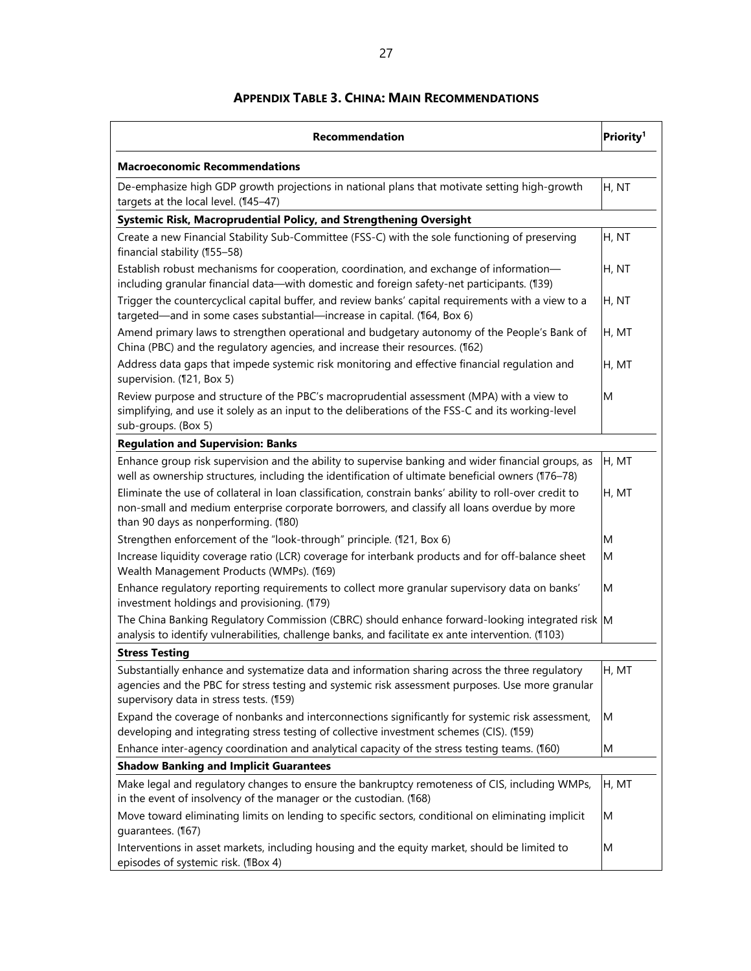### **APPENDIX TABLE 3. CHINA: MAIN RECOMMENDATIONS**

| <b>Recommendation</b>                                                                                                                                                                                                                          | Priority <sup>1</sup> |  |
|------------------------------------------------------------------------------------------------------------------------------------------------------------------------------------------------------------------------------------------------|-----------------------|--|
| <b>Macroeconomic Recommendations</b>                                                                                                                                                                                                           |                       |  |
| De-emphasize high GDP growth projections in national plans that motivate setting high-growth<br>targets at the local level. (145-47)                                                                                                           | H, NT                 |  |
| Systemic Risk, Macroprudential Policy, and Strengthening Oversight                                                                                                                                                                             |                       |  |
| Create a new Financial Stability Sub-Committee (FSS-C) with the sole functioning of preserving<br>financial stability (155-58)                                                                                                                 | H, NT                 |  |
| Establish robust mechanisms for cooperation, coordination, and exchange of information-<br>including granular financial data-with domestic and foreign safety-net participants. (139)                                                          | H, NT                 |  |
| Trigger the countercyclical capital buffer, and review banks' capital requirements with a view to a<br>targeted-and in some cases substantial-increase in capital. (164, Box 6)                                                                | H, NT                 |  |
| Amend primary laws to strengthen operational and budgetary autonomy of the People's Bank of<br>China (PBC) and the regulatory agencies, and increase their resources. (162)                                                                    | H, MT                 |  |
| Address data gaps that impede systemic risk monitoring and effective financial regulation and<br>supervision. (121, Box 5)                                                                                                                     | H, MT                 |  |
| Review purpose and structure of the PBC's macroprudential assessment (MPA) with a view to<br>simplifying, and use it solely as an input to the deliberations of the FSS-C and its working-level<br>sub-groups. (Box 5)                         | M                     |  |
| <b>Regulation and Supervision: Banks</b>                                                                                                                                                                                                       |                       |  |
| Enhance group risk supervision and the ability to supervise banking and wider financial groups, as<br>well as ownership structures, including the identification of ultimate beneficial owners (176-78)                                        | H, MT                 |  |
| Eliminate the use of collateral in loan classification, constrain banks' ability to roll-over credit to<br>non-small and medium enterprise corporate borrowers, and classify all loans overdue by more<br>than 90 days as nonperforming. (180) | H, MT                 |  |
| Strengthen enforcement of the "look-through" principle. (121, Box 6)                                                                                                                                                                           | M                     |  |
| Increase liquidity coverage ratio (LCR) coverage for interbank products and for off-balance sheet<br>Wealth Management Products (WMPs). (169)                                                                                                  | M                     |  |
| Enhance regulatory reporting requirements to collect more granular supervisory data on banks'<br>investment holdings and provisioning. (179)                                                                                                   | M                     |  |
| The China Banking Regulatory Commission (CBRC) should enhance forward-looking integrated risk M<br>analysis to identify vulnerabilities, challenge banks, and facilitate ex ante intervention. (1103)                                          |                       |  |
| <b>Stress Testing</b>                                                                                                                                                                                                                          |                       |  |
| Substantially enhance and systematize data and information sharing across the three regulatory<br>agencies and the PBC for stress testing and systemic risk assessment purposes. Use more granular<br>supervisory data in stress tests. (159)  | H, MT                 |  |
| Expand the coverage of nonbanks and interconnections significantly for systemic risk assessment,<br>developing and integrating stress testing of collective investment schemes (CIS). (159)                                                    | M                     |  |
| Enhance inter-agency coordination and analytical capacity of the stress testing teams. (160)                                                                                                                                                   | M                     |  |
| <b>Shadow Banking and Implicit Guarantees</b>                                                                                                                                                                                                  |                       |  |
| Make legal and regulatory changes to ensure the bankruptcy remoteness of CIS, including WMPs,<br>in the event of insolvency of the manager or the custodian. (168)                                                                             | H, MT                 |  |
| Move toward eliminating limits on lending to specific sectors, conditional on eliminating implicit<br>guarantees. (167)                                                                                                                        | M                     |  |
| Interventions in asset markets, including housing and the equity market, should be limited to<br>episodes of systemic risk. (¶Box 4)                                                                                                           | M                     |  |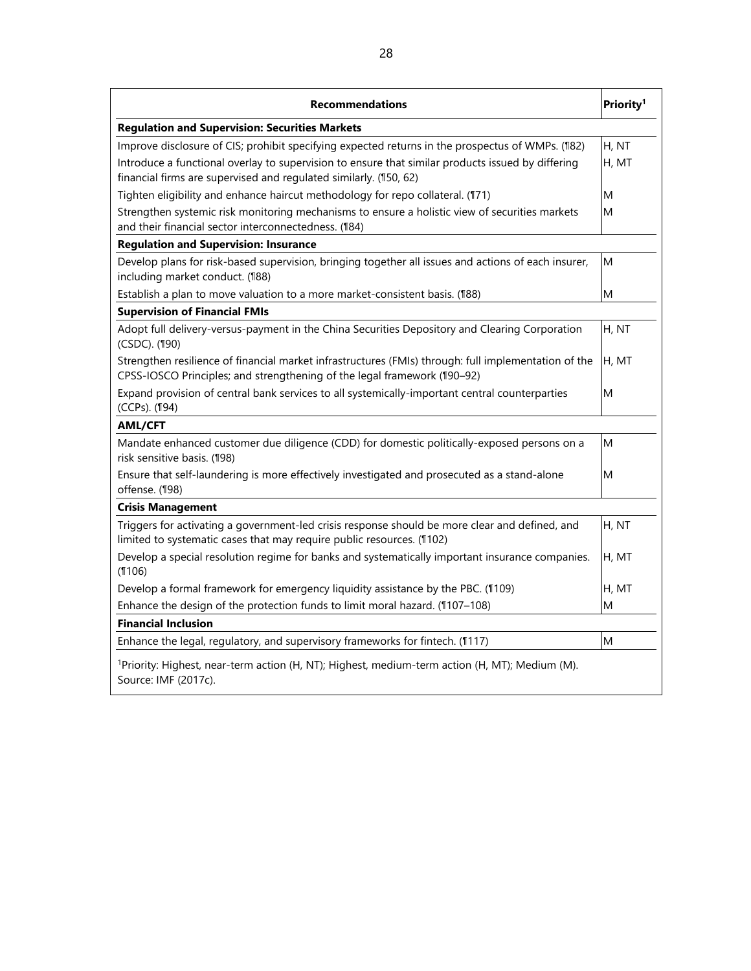| <b>Regulation and Supervision: Securities Markets</b><br>Improve disclosure of CIS; prohibit specifying expected returns in the prospectus of WMPs. (182)<br>Introduce a functional overlay to supervision to ensure that similar products issued by differing<br>financial firms are supervised and regulated similarly. (150, 62)<br>Tighten eligibility and enhance haircut methodology for repo collateral. (171)<br>Strengthen systemic risk monitoring mechanisms to ensure a holistic view of securities markets<br>and their financial sector interconnectedness. (184)<br><b>Regulation and Supervision: Insurance</b><br>Develop plans for risk-based supervision, bringing together all issues and actions of each insurer,<br>including market conduct. (188) | H, NT<br>H, MT<br>M<br>M |
|---------------------------------------------------------------------------------------------------------------------------------------------------------------------------------------------------------------------------------------------------------------------------------------------------------------------------------------------------------------------------------------------------------------------------------------------------------------------------------------------------------------------------------------------------------------------------------------------------------------------------------------------------------------------------------------------------------------------------------------------------------------------------|--------------------------|
|                                                                                                                                                                                                                                                                                                                                                                                                                                                                                                                                                                                                                                                                                                                                                                           |                          |
|                                                                                                                                                                                                                                                                                                                                                                                                                                                                                                                                                                                                                                                                                                                                                                           |                          |
|                                                                                                                                                                                                                                                                                                                                                                                                                                                                                                                                                                                                                                                                                                                                                                           |                          |
|                                                                                                                                                                                                                                                                                                                                                                                                                                                                                                                                                                                                                                                                                                                                                                           |                          |
|                                                                                                                                                                                                                                                                                                                                                                                                                                                                                                                                                                                                                                                                                                                                                                           |                          |
|                                                                                                                                                                                                                                                                                                                                                                                                                                                                                                                                                                                                                                                                                                                                                                           |                          |
|                                                                                                                                                                                                                                                                                                                                                                                                                                                                                                                                                                                                                                                                                                                                                                           | M                        |
| Establish a plan to move valuation to a more market-consistent basis. (188)                                                                                                                                                                                                                                                                                                                                                                                                                                                                                                                                                                                                                                                                                               | M                        |
| <b>Supervision of Financial FMIs</b>                                                                                                                                                                                                                                                                                                                                                                                                                                                                                                                                                                                                                                                                                                                                      |                          |
| Adopt full delivery-versus-payment in the China Securities Depository and Clearing Corporation<br>(CSDC). (190)                                                                                                                                                                                                                                                                                                                                                                                                                                                                                                                                                                                                                                                           | H, NT                    |
| Strengthen resilience of financial market infrastructures (FMIs) through: full implementation of the<br>CPSS-IOSCO Principles; and strengthening of the legal framework (190-92)                                                                                                                                                                                                                                                                                                                                                                                                                                                                                                                                                                                          | H, MT                    |
| Expand provision of central bank services to all systemically-important central counterparties<br>(CCPs). (194)                                                                                                                                                                                                                                                                                                                                                                                                                                                                                                                                                                                                                                                           | M                        |
| <b>AML/CFT</b>                                                                                                                                                                                                                                                                                                                                                                                                                                                                                                                                                                                                                                                                                                                                                            |                          |
| Mandate enhanced customer due diligence (CDD) for domestic politically-exposed persons on a<br>risk sensitive basis. (198)                                                                                                                                                                                                                                                                                                                                                                                                                                                                                                                                                                                                                                                | M                        |
| Ensure that self-laundering is more effectively investigated and prosecuted as a stand-alone<br>offense. (198)                                                                                                                                                                                                                                                                                                                                                                                                                                                                                                                                                                                                                                                            | M                        |
| <b>Crisis Management</b>                                                                                                                                                                                                                                                                                                                                                                                                                                                                                                                                                                                                                                                                                                                                                  |                          |
| Triggers for activating a government-led crisis response should be more clear and defined, and<br>limited to systematic cases that may require public resources. (1102)                                                                                                                                                                                                                                                                                                                                                                                                                                                                                                                                                                                                   | H, NT                    |
| Develop a special resolution regime for banks and systematically important insurance companies.<br>(1106)                                                                                                                                                                                                                                                                                                                                                                                                                                                                                                                                                                                                                                                                 | H, MT                    |
| Develop a formal framework for emergency liquidity assistance by the PBC. (1109)                                                                                                                                                                                                                                                                                                                                                                                                                                                                                                                                                                                                                                                                                          | H, MT                    |
| Enhance the design of the protection funds to limit moral hazard. (1107-108)                                                                                                                                                                                                                                                                                                                                                                                                                                                                                                                                                                                                                                                                                              | M                        |
| <b>Financial Inclusion</b>                                                                                                                                                                                                                                                                                                                                                                                                                                                                                                                                                                                                                                                                                                                                                |                          |
| Enhance the legal, regulatory, and supervisory frameworks for fintech. (1117)                                                                                                                                                                                                                                                                                                                                                                                                                                                                                                                                                                                                                                                                                             | M                        |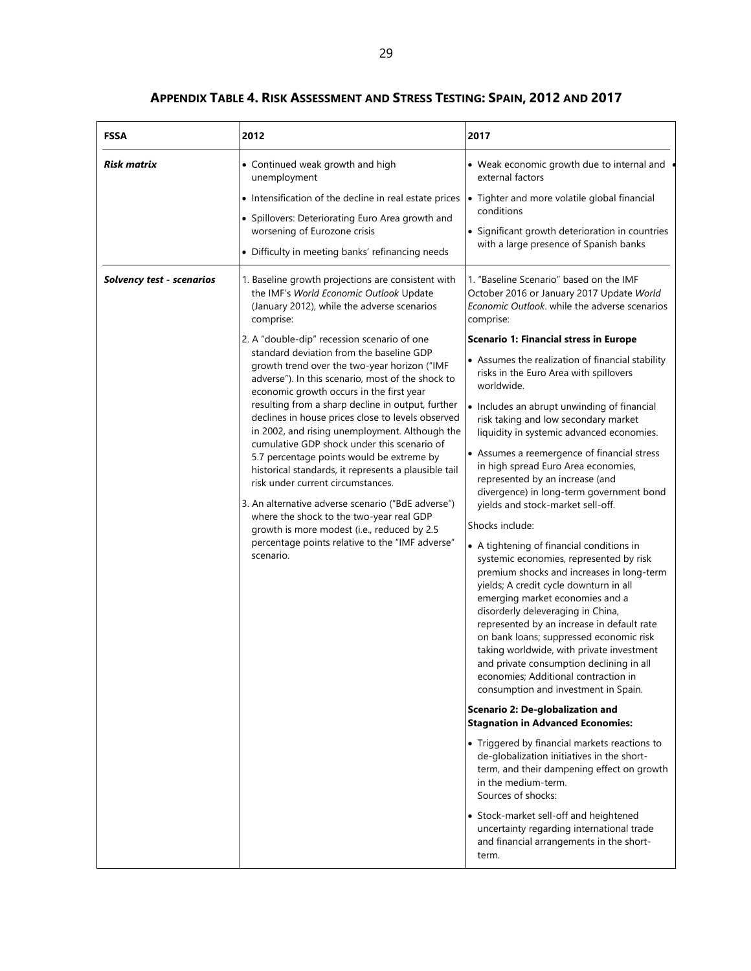## **APPENDIX TABLE 4. RISK ASSESSMENT AND STRESS TESTING: SPAIN, 2012 AND 2017**

| <b>FSSA</b>               | 2012                                                                                                                                                                                                                                                                                                                                                                                                                                                                                                                                                                                                                                                                                                                                                                                                                                                                                                                                                                        | 2017                                                                                                                                                                                                                                                                                                                                                                                                                                                                                                                                                                                                                                                                                                                                                                                                                                                                                                                                                                                                                                                                                                                                                                                                                                                                                                                                                                                                                                                                                                                                                                                                                     |
|---------------------------|-----------------------------------------------------------------------------------------------------------------------------------------------------------------------------------------------------------------------------------------------------------------------------------------------------------------------------------------------------------------------------------------------------------------------------------------------------------------------------------------------------------------------------------------------------------------------------------------------------------------------------------------------------------------------------------------------------------------------------------------------------------------------------------------------------------------------------------------------------------------------------------------------------------------------------------------------------------------------------|--------------------------------------------------------------------------------------------------------------------------------------------------------------------------------------------------------------------------------------------------------------------------------------------------------------------------------------------------------------------------------------------------------------------------------------------------------------------------------------------------------------------------------------------------------------------------------------------------------------------------------------------------------------------------------------------------------------------------------------------------------------------------------------------------------------------------------------------------------------------------------------------------------------------------------------------------------------------------------------------------------------------------------------------------------------------------------------------------------------------------------------------------------------------------------------------------------------------------------------------------------------------------------------------------------------------------------------------------------------------------------------------------------------------------------------------------------------------------------------------------------------------------------------------------------------------------------------------------------------------------|
| Risk matrix               | • Continued weak growth and high<br>unemployment<br>• Intensification of the decline in real estate prices<br>• Spillovers: Deteriorating Euro Area growth and<br>worsening of Eurozone crisis<br>• Difficulty in meeting banks' refinancing needs                                                                                                                                                                                                                                                                                                                                                                                                                                                                                                                                                                                                                                                                                                                          | • Weak economic growth due to internal and<br>external factors<br>• Tighter and more volatile global financial<br>conditions<br>• Significant growth deterioration in countries<br>with a large presence of Spanish banks                                                                                                                                                                                                                                                                                                                                                                                                                                                                                                                                                                                                                                                                                                                                                                                                                                                                                                                                                                                                                                                                                                                                                                                                                                                                                                                                                                                                |
| Solvency test - scenarios | 1. Baseline growth projections are consistent with<br>the IMF's World Economic Outlook Update<br>(January 2012), while the adverse scenarios<br>comprise:<br>2. A "double-dip" recession scenario of one<br>standard deviation from the baseline GDP<br>growth trend over the two-year horizon ("IMF<br>adverse"). In this scenario, most of the shock to<br>economic growth occurs in the first year<br>resulting from a sharp decline in output, further<br>declines in house prices close to levels observed<br>in 2002, and rising unemployment. Although the<br>cumulative GDP shock under this scenario of<br>5.7 percentage points would be extreme by<br>historical standards, it represents a plausible tail<br>risk under current circumstances.<br>3. An alternative adverse scenario ("BdE adverse")<br>where the shock to the two-year real GDP<br>growth is more modest (i.e., reduced by 2.5<br>percentage points relative to the "IMF adverse"<br>scenario. | 1. "Baseline Scenario" based on the IMF<br>October 2016 or January 2017 Update World<br>Economic Outlook. while the adverse scenarios<br>comprise:<br>Scenario 1: Financial stress in Europe<br>• Assumes the realization of financial stability<br>risks in the Euro Area with spillovers<br>worldwide.<br>• Includes an abrupt unwinding of financial<br>risk taking and low secondary market<br>liquidity in systemic advanced economies.<br>• Assumes a reemergence of financial stress<br>in high spread Euro Area economies,<br>represented by an increase (and<br>divergence) in long-term government bond<br>yields and stock-market sell-off.<br>Shocks include:<br>• A tightening of financial conditions in<br>systemic economies, represented by risk<br>premium shocks and increases in long-term<br>yields; A credit cycle downturn in all<br>emerging market economies and a<br>disorderly deleveraging in China,<br>represented by an increase in default rate<br>on bank loans; suppressed economic risk<br>taking worldwide, with private investment<br>and private consumption declining in all<br>economies; Additional contraction in<br>consumption and investment in Spain.<br>Scenario 2: De-globalization and<br><b>Stagnation in Advanced Economies:</b><br>• Triggered by financial markets reactions to<br>de-globalization initiatives in the short-<br>term, and their dampening effect on growth<br>in the medium-term.<br>Sources of shocks:<br>• Stock-market sell-off and heightened<br>uncertainty regarding international trade<br>and financial arrangements in the short-<br>term. |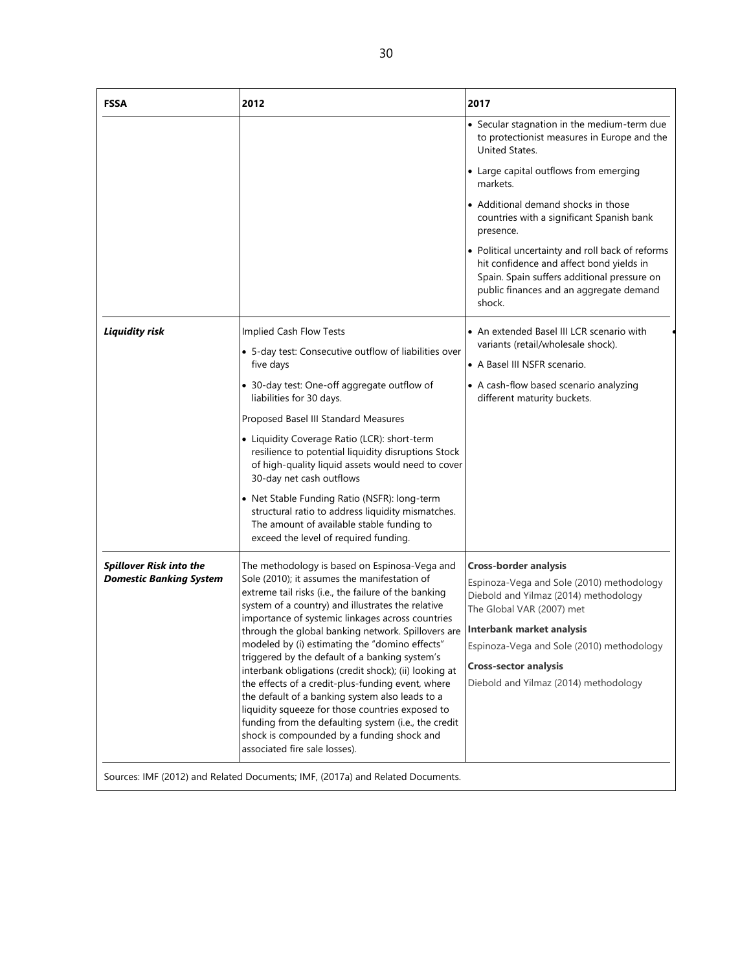| <b>FSSA</b>                                                      | 2012                                                                                                                                                                                                                                                                                                                                                                                                                                                                                                                                                                                                                                                                                                                                                                                 | 2017                                                                                                                                                                                                                                                                                                      |
|------------------------------------------------------------------|--------------------------------------------------------------------------------------------------------------------------------------------------------------------------------------------------------------------------------------------------------------------------------------------------------------------------------------------------------------------------------------------------------------------------------------------------------------------------------------------------------------------------------------------------------------------------------------------------------------------------------------------------------------------------------------------------------------------------------------------------------------------------------------|-----------------------------------------------------------------------------------------------------------------------------------------------------------------------------------------------------------------------------------------------------------------------------------------------------------|
|                                                                  |                                                                                                                                                                                                                                                                                                                                                                                                                                                                                                                                                                                                                                                                                                                                                                                      | • Secular stagnation in the medium-term due<br>to protectionist measures in Europe and the<br>United States.                                                                                                                                                                                              |
|                                                                  |                                                                                                                                                                                                                                                                                                                                                                                                                                                                                                                                                                                                                                                                                                                                                                                      | • Large capital outflows from emerging<br>markets.                                                                                                                                                                                                                                                        |
|                                                                  |                                                                                                                                                                                                                                                                                                                                                                                                                                                                                                                                                                                                                                                                                                                                                                                      | • Additional demand shocks in those<br>countries with a significant Spanish bank<br>presence.                                                                                                                                                                                                             |
|                                                                  |                                                                                                                                                                                                                                                                                                                                                                                                                                                                                                                                                                                                                                                                                                                                                                                      | • Political uncertainty and roll back of reforms<br>hit confidence and affect bond yields in<br>Spain. Spain suffers additional pressure on<br>public finances and an aggregate demand<br>shock.                                                                                                          |
| <b>Liquidity risk</b>                                            | Implied Cash Flow Tests                                                                                                                                                                                                                                                                                                                                                                                                                                                                                                                                                                                                                                                                                                                                                              | • An extended Basel III LCR scenario with                                                                                                                                                                                                                                                                 |
|                                                                  | • 5-day test: Consecutive outflow of liabilities over<br>five days                                                                                                                                                                                                                                                                                                                                                                                                                                                                                                                                                                                                                                                                                                                   | variants (retail/wholesale shock).<br>• A Basel III NSFR scenario.                                                                                                                                                                                                                                        |
|                                                                  | • 30-day test: One-off aggregate outflow of<br>liabilities for 30 days.                                                                                                                                                                                                                                                                                                                                                                                                                                                                                                                                                                                                                                                                                                              | • A cash-flow based scenario analyzing<br>different maturity buckets.                                                                                                                                                                                                                                     |
|                                                                  | Proposed Basel III Standard Measures                                                                                                                                                                                                                                                                                                                                                                                                                                                                                                                                                                                                                                                                                                                                                 |                                                                                                                                                                                                                                                                                                           |
|                                                                  | • Liquidity Coverage Ratio (LCR): short-term<br>resilience to potential liquidity disruptions Stock<br>of high-quality liquid assets would need to cover<br>30-day net cash outflows                                                                                                                                                                                                                                                                                                                                                                                                                                                                                                                                                                                                 |                                                                                                                                                                                                                                                                                                           |
|                                                                  | • Net Stable Funding Ratio (NSFR): long-term<br>structural ratio to address liquidity mismatches.<br>The amount of available stable funding to<br>exceed the level of required funding.                                                                                                                                                                                                                                                                                                                                                                                                                                                                                                                                                                                              |                                                                                                                                                                                                                                                                                                           |
| <b>Spillover Risk into the</b><br><b>Domestic Banking System</b> | The methodology is based on Espinosa-Vega and<br>Sole (2010); it assumes the manifestation of<br>extreme tail risks (i.e., the failure of the banking<br>system of a country) and illustrates the relative<br>importance of systemic linkages across countries<br>through the global banking network. Spillovers are<br>modeled by (i) estimating the "domino effects"<br>triggered by the default of a banking system's<br>interbank obligations (credit shock); (ii) looking at<br>the effects of a credit-plus-funding event, where<br>the default of a banking system also leads to a<br>liquidity squeeze for those countries exposed to<br>funding from the defaulting system (i.e., the credit<br>shock is compounded by a funding shock and<br>associated fire sale losses). | <b>Cross-border analysis</b><br>Espinoza-Vega and Sole (2010) methodology<br>Diebold and Yilmaz (2014) methodology<br>The Global VAR (2007) met<br><b>Interbank market analysis</b><br>Espinoza-Vega and Sole (2010) methodology<br><b>Cross-sector analysis</b><br>Diebold and Yilmaz (2014) methodology |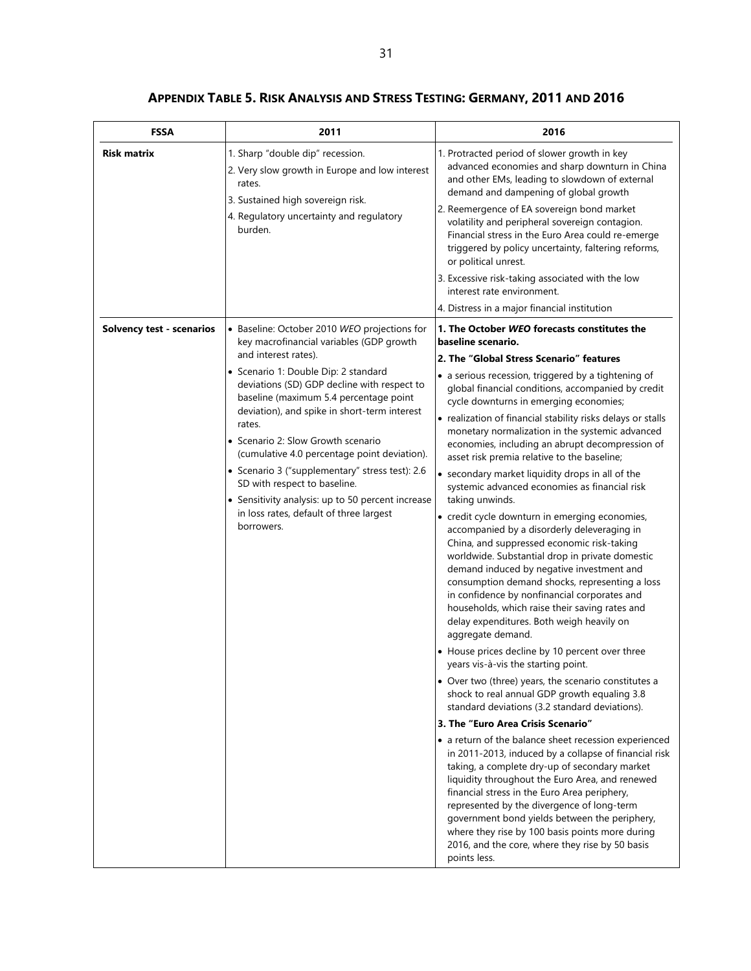| <b>FSSA</b>                      | 2011                                                                                                                                                                                                                                                                                                                                                                                                                                                                                                                                                                                               | 2016                                                                                                                                                                                                                                                                                                                                                                                                                                                                                                                                                                                                                                                                                                                                                                                                                                                                                                                                                                                                                                                                                                                                                                                                                                                                                                                                                                                                                                                                                                                                                                                                                                                                                                                                                                                                                                                                                                        |
|----------------------------------|----------------------------------------------------------------------------------------------------------------------------------------------------------------------------------------------------------------------------------------------------------------------------------------------------------------------------------------------------------------------------------------------------------------------------------------------------------------------------------------------------------------------------------------------------------------------------------------------------|-------------------------------------------------------------------------------------------------------------------------------------------------------------------------------------------------------------------------------------------------------------------------------------------------------------------------------------------------------------------------------------------------------------------------------------------------------------------------------------------------------------------------------------------------------------------------------------------------------------------------------------------------------------------------------------------------------------------------------------------------------------------------------------------------------------------------------------------------------------------------------------------------------------------------------------------------------------------------------------------------------------------------------------------------------------------------------------------------------------------------------------------------------------------------------------------------------------------------------------------------------------------------------------------------------------------------------------------------------------------------------------------------------------------------------------------------------------------------------------------------------------------------------------------------------------------------------------------------------------------------------------------------------------------------------------------------------------------------------------------------------------------------------------------------------------------------------------------------------------------------------------------------------------|
| <b>Risk matrix</b>               | 1. Sharp "double dip" recession.<br>2. Very slow growth in Europe and low interest<br>rates.<br>3. Sustained high sovereign risk.<br>4. Regulatory uncertainty and regulatory<br>burden.                                                                                                                                                                                                                                                                                                                                                                                                           | 1. Protracted period of slower growth in key<br>advanced economies and sharp downturn in China<br>and other EMs, leading to slowdown of external<br>demand and dampening of global growth<br>2. Reemergence of EA sovereign bond market<br>volatility and peripheral sovereign contagion.<br>Financial stress in the Euro Area could re-emerge<br>triggered by policy uncertainty, faltering reforms,<br>or political unrest.<br>3. Excessive risk-taking associated with the low                                                                                                                                                                                                                                                                                                                                                                                                                                                                                                                                                                                                                                                                                                                                                                                                                                                                                                                                                                                                                                                                                                                                                                                                                                                                                                                                                                                                                           |
|                                  |                                                                                                                                                                                                                                                                                                                                                                                                                                                                                                                                                                                                    | interest rate environment.                                                                                                                                                                                                                                                                                                                                                                                                                                                                                                                                                                                                                                                                                                                                                                                                                                                                                                                                                                                                                                                                                                                                                                                                                                                                                                                                                                                                                                                                                                                                                                                                                                                                                                                                                                                                                                                                                  |
| <b>Solvency test - scenarios</b> | • Baseline: October 2010 WEO projections for<br>key macrofinancial variables (GDP growth<br>and interest rates).<br>· Scenario 1: Double Dip: 2 standard<br>deviations (SD) GDP decline with respect to<br>baseline (maximum 5.4 percentage point<br>deviation), and spike in short-term interest<br>rates.<br>• Scenario 2: Slow Growth scenario<br>(cumulative 4.0 percentage point deviation).<br>• Scenario 3 ("supplementary" stress test): 2.6<br>SD with respect to baseline.<br>• Sensitivity analysis: up to 50 percent increase<br>in loss rates, default of three largest<br>borrowers. | 4. Distress in a major financial institution<br>1. The October WEO forecasts constitutes the<br>baseline scenario.<br>2. The "Global Stress Scenario" features<br>• a serious recession, triggered by a tightening of<br>global financial conditions, accompanied by credit<br>cycle downturns in emerging economies;<br>• realization of financial stability risks delays or stalls<br>monetary normalization in the systemic advanced<br>economies, including an abrupt decompression of<br>asset risk premia relative to the baseline;<br>• secondary market liquidity drops in all of the<br>systemic advanced economies as financial risk<br>taking unwinds.<br>• credit cycle downturn in emerging economies,<br>accompanied by a disorderly deleveraging in<br>China, and suppressed economic risk-taking<br>worldwide. Substantial drop in private domestic<br>demand induced by negative investment and<br>consumption demand shocks, representing a loss<br>in confidence by nonfinancial corporates and<br>households, which raise their saving rates and<br>delay expenditures. Both weigh heavily on<br>aggregate demand.<br>• House prices decline by 10 percent over three<br>years vis-à-vis the starting point.<br>• Over two (three) years, the scenario constitutes a<br>shock to real annual GDP growth equaling 3.8<br>standard deviations (3.2 standard deviations).<br>3. The "Euro Area Crisis Scenario"<br>• a return of the balance sheet recession experienced<br>in 2011-2013, induced by a collapse of financial risk<br>taking, a complete dry-up of secondary market<br>liquidity throughout the Euro Area, and renewed<br>financial stress in the Euro Area periphery,<br>represented by the divergence of long-term<br>government bond yields between the periphery,<br>where they rise by 100 basis points more during<br>2016, and the core, where they rise by 50 basis |

**APPENDIX TABLE 5. RISK ANALYSIS AND STRESS TESTING: GERMANY, 2011 AND 2016**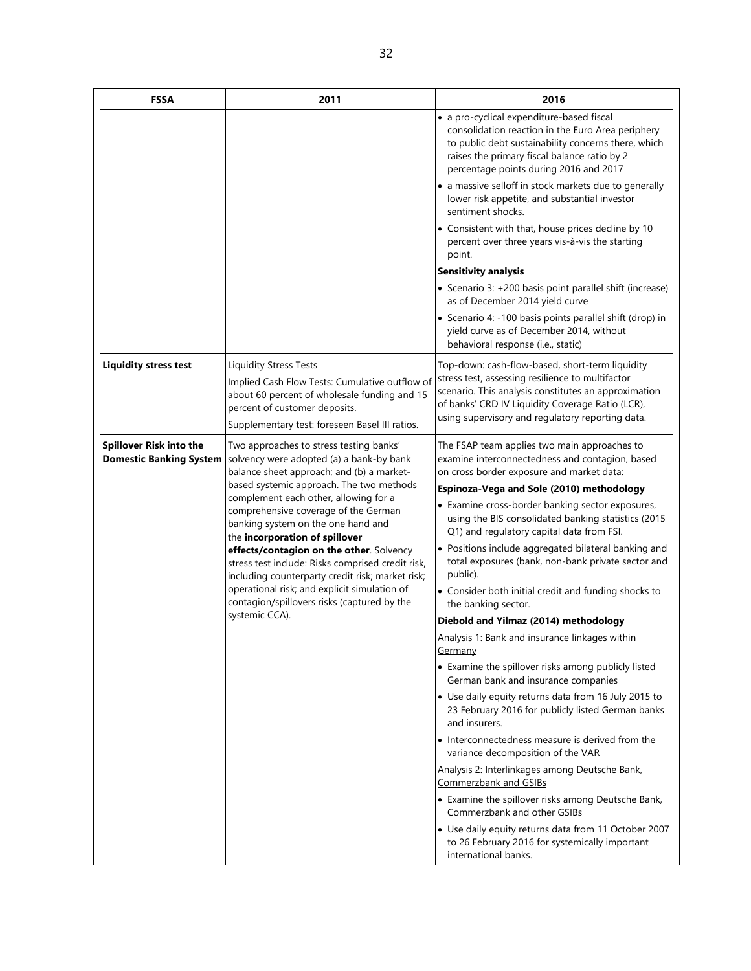| <b>FSSA</b>                                               | 2011                                                                                                                                                                                                                                                                                                                                                                                                                                                                                                                                                                                      | 2016                                                                                                                                                                                                                                                                |
|-----------------------------------------------------------|-------------------------------------------------------------------------------------------------------------------------------------------------------------------------------------------------------------------------------------------------------------------------------------------------------------------------------------------------------------------------------------------------------------------------------------------------------------------------------------------------------------------------------------------------------------------------------------------|---------------------------------------------------------------------------------------------------------------------------------------------------------------------------------------------------------------------------------------------------------------------|
|                                                           |                                                                                                                                                                                                                                                                                                                                                                                                                                                                                                                                                                                           | · a pro-cyclical expenditure-based fiscal<br>consolidation reaction in the Euro Area periphery<br>to public debt sustainability concerns there, which<br>raises the primary fiscal balance ratio by 2<br>percentage points during 2016 and 2017                     |
|                                                           |                                                                                                                                                                                                                                                                                                                                                                                                                                                                                                                                                                                           | • a massive selloff in stock markets due to generally<br>lower risk appetite, and substantial investor<br>sentiment shocks.                                                                                                                                         |
|                                                           |                                                                                                                                                                                                                                                                                                                                                                                                                                                                                                                                                                                           | • Consistent with that, house prices decline by 10<br>percent over three years vis-à-vis the starting<br>point.                                                                                                                                                     |
|                                                           |                                                                                                                                                                                                                                                                                                                                                                                                                                                                                                                                                                                           | <b>Sensitivity analysis</b>                                                                                                                                                                                                                                         |
|                                                           |                                                                                                                                                                                                                                                                                                                                                                                                                                                                                                                                                                                           | • Scenario 3: +200 basis point parallel shift (increase)<br>as of December 2014 yield curve                                                                                                                                                                         |
|                                                           |                                                                                                                                                                                                                                                                                                                                                                                                                                                                                                                                                                                           | • Scenario 4: -100 basis points parallel shift (drop) in<br>yield curve as of December 2014, without<br>behavioral response (i.e., static)                                                                                                                          |
| <b>Liquidity stress test</b>                              | <b>Liquidity Stress Tests</b><br>Implied Cash Flow Tests: Cumulative outflow of<br>about 60 percent of wholesale funding and 15<br>percent of customer deposits.<br>Supplementary test: foreseen Basel III ratios.                                                                                                                                                                                                                                                                                                                                                                        | Top-down: cash-flow-based, short-term liquidity<br>stress test, assessing resilience to multifactor<br>scenario. This analysis constitutes an approximation<br>of banks' CRD IV Liquidity Coverage Ratio (LCR),<br>using supervisory and regulatory reporting data. |
| Spillover Risk into the<br><b>Domestic Banking System</b> | Two approaches to stress testing banks'<br>solvency were adopted (a) a bank-by bank<br>balance sheet approach; and (b) a market-<br>based systemic approach. The two methods<br>complement each other, allowing for a<br>comprehensive coverage of the German<br>banking system on the one hand and<br>the incorporation of spillover<br>effects/contagion on the other. Solvency<br>stress test include: Risks comprised credit risk,<br>including counterparty credit risk; market risk;<br>operational risk; and explicit simulation of<br>contagion/spillovers risks (captured by the | The FSAP team applies two main approaches to<br>examine interconnectedness and contagion, based<br>on cross border exposure and market data:                                                                                                                        |
|                                                           |                                                                                                                                                                                                                                                                                                                                                                                                                                                                                                                                                                                           | Espinoza-Vega and Sole (2010) methodology                                                                                                                                                                                                                           |
|                                                           |                                                                                                                                                                                                                                                                                                                                                                                                                                                                                                                                                                                           | • Examine cross-border banking sector exposures,<br>using the BIS consolidated banking statistics (2015<br>Q1) and regulatory capital data from FSI.                                                                                                                |
|                                                           |                                                                                                                                                                                                                                                                                                                                                                                                                                                                                                                                                                                           | • Positions include aggregated bilateral banking and<br>total exposures (bank, non-bank private sector and<br>public).                                                                                                                                              |
|                                                           |                                                                                                                                                                                                                                                                                                                                                                                                                                                                                                                                                                                           | • Consider both initial credit and funding shocks to<br>the banking sector.                                                                                                                                                                                         |
|                                                           | systemic CCA).                                                                                                                                                                                                                                                                                                                                                                                                                                                                                                                                                                            | Diebold and Yilmaz (2014) methodology                                                                                                                                                                                                                               |
|                                                           |                                                                                                                                                                                                                                                                                                                                                                                                                                                                                                                                                                                           | Analysis 1: Bank and insurance linkages within<br>Germany                                                                                                                                                                                                           |
|                                                           |                                                                                                                                                                                                                                                                                                                                                                                                                                                                                                                                                                                           | • Examine the spillover risks among publicly listed<br>German bank and insurance companies                                                                                                                                                                          |
|                                                           |                                                                                                                                                                                                                                                                                                                                                                                                                                                                                                                                                                                           | • Use daily equity returns data from 16 July 2015 to<br>23 February 2016 for publicly listed German banks<br>and insurers.                                                                                                                                          |
|                                                           |                                                                                                                                                                                                                                                                                                                                                                                                                                                                                                                                                                                           | • Interconnectedness measure is derived from the<br>variance decomposition of the VAR                                                                                                                                                                               |
|                                                           |                                                                                                                                                                                                                                                                                                                                                                                                                                                                                                                                                                                           | Analysis 2: Interlinkages among Deutsche Bank,<br>Commerzbank and GSIBs                                                                                                                                                                                             |
|                                                           |                                                                                                                                                                                                                                                                                                                                                                                                                                                                                                                                                                                           | • Examine the spillover risks among Deutsche Bank,<br>Commerzbank and other GSIBs                                                                                                                                                                                   |
|                                                           |                                                                                                                                                                                                                                                                                                                                                                                                                                                                                                                                                                                           | • Use daily equity returns data from 11 October 2007<br>to 26 February 2016 for systemically important<br>international banks.                                                                                                                                      |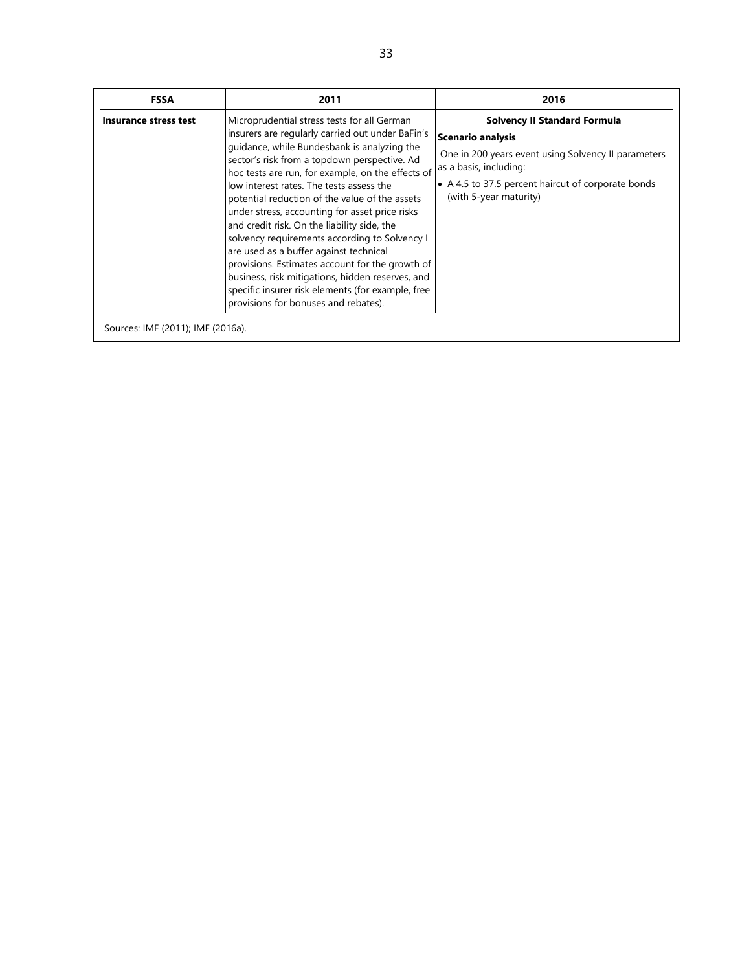| <b>FSSA</b>                       | 2011                                                                                                                                                                                                                                                                                                                                                                                                                                                                                                                                                                                                                                                                                                                                              | 2016                                                                                                                                                                                                                             |
|-----------------------------------|---------------------------------------------------------------------------------------------------------------------------------------------------------------------------------------------------------------------------------------------------------------------------------------------------------------------------------------------------------------------------------------------------------------------------------------------------------------------------------------------------------------------------------------------------------------------------------------------------------------------------------------------------------------------------------------------------------------------------------------------------|----------------------------------------------------------------------------------------------------------------------------------------------------------------------------------------------------------------------------------|
| Insurance stress test             | Microprudential stress tests for all German<br>insurers are regularly carried out under BaFin's<br>quidance, while Bundesbank is analyzing the<br>sector's risk from a topdown perspective. Ad<br>hoc tests are run, for example, on the effects of<br>low interest rates. The tests assess the<br>potential reduction of the value of the assets<br>under stress, accounting for asset price risks<br>and credit risk. On the liability side, the<br>solvency requirements according to Solvency I<br>are used as a buffer against technical<br>provisions. Estimates account for the growth of<br>business, risk mitigations, hidden reserves, and<br>specific insurer risk elements (for example, free<br>provisions for bonuses and rebates). | <b>Solvency II Standard Formula</b><br><b>Scenario analysis</b><br>One in 200 years event using Solvency II parameters<br>as a basis, including:<br>• A 4.5 to 37.5 percent haircut of corporate bonds<br>(with 5-year maturity) |
| Sources: IMF (2011); IMF (2016a). |                                                                                                                                                                                                                                                                                                                                                                                                                                                                                                                                                                                                                                                                                                                                                   |                                                                                                                                                                                                                                  |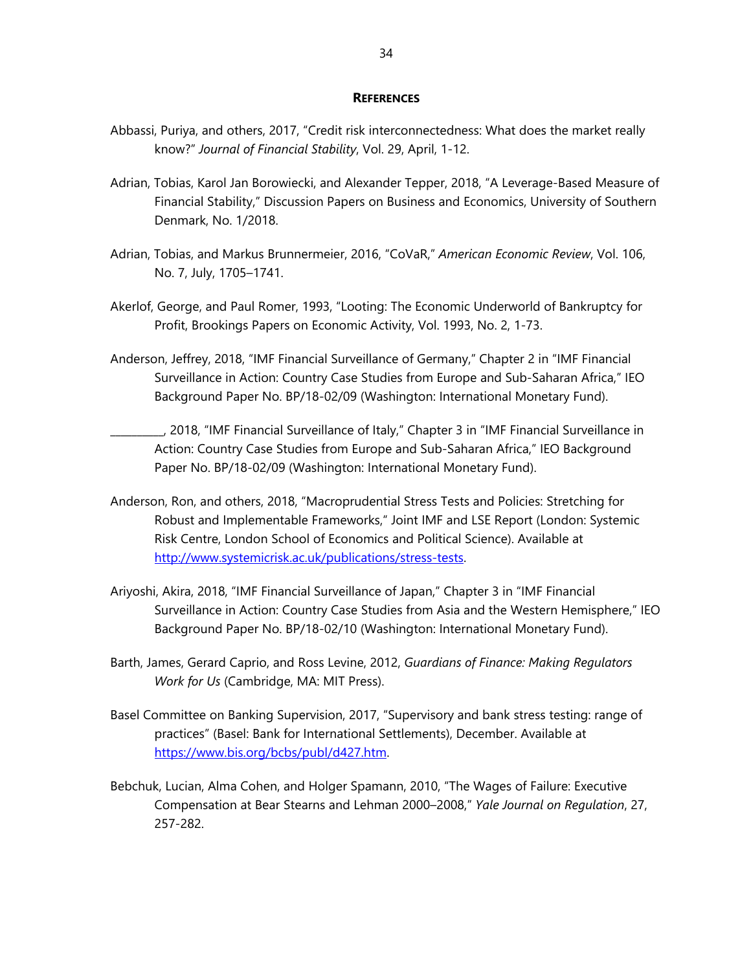#### **REFERENCES**

- Abbassi, Puriya, and others, 2017, "Credit risk interconnectedness: What does the market really know?" *Journal of Financial Stability*, Vol. 29, April, 1-12.
- Adrian, Tobias, Karol Jan Borowiecki, and Alexander Tepper, 2018, "A Leverage-Based Measure of Financial Stability," Discussion Papers on Business and Economics, University of Southern Denmark, No. 1/2018.
- Adrian, Tobias, and Markus Brunnermeier, 2016, "CoVaR," *American Economic Review*, Vol. 106, No. 7, July, 1705–1741.
- Akerlof, George, and Paul Romer, 1993, "Looting: The Economic Underworld of Bankruptcy for Profit, Brookings Papers on Economic Activity, Vol. 1993, No. 2, 1-73.
- Anderson, Jeffrey, 2018, "IMF Financial Surveillance of Germany," Chapter 2 in "IMF Financial Surveillance in Action: Country Case Studies from Europe and Sub-Saharan Africa," IEO Background Paper No. BP/18-02/09 (Washington: International Monetary Fund).
	- \_\_\_\_\_\_\_\_\_\_, 2018, "IMF Financial Surveillance of Italy," Chapter 3 in "IMF Financial Surveillance in Action: Country Case Studies from Europe and Sub-Saharan Africa," IEO Background Paper No. BP/18-02/09 (Washington: International Monetary Fund).
- Anderson, Ron, and others, 2018, "Macroprudential Stress Tests and Policies: Stretching for Robust and Implementable Frameworks," Joint IMF and LSE Report (London: Systemic Risk Centre, London School of Economics and Political Science). Available at http://www.systemicrisk.ac.uk/publications/stress-tests.
- Ariyoshi, Akira, 2018, "IMF Financial Surveillance of Japan," Chapter 3 in "IMF Financial Surveillance in Action: Country Case Studies from Asia and the Western Hemisphere," IEO Background Paper No. BP/18-02/10 (Washington: International Monetary Fund).
- Barth, James, Gerard Caprio, and Ross Levine, 2012, *Guardians of Finance: Making Regulators Work for Us* (Cambridge, MA: MIT Press).
- Basel Committee on Banking Supervision, 2017, "Supervisory and bank stress testing: range of practices" (Basel: Bank for International Settlements), December. Available at https://www.bis.org/bcbs/publ/d427.htm.
- Bebchuk, Lucian, Alma Cohen, and Holger Spamann, 2010, "The Wages of Failure: Executive Compensation at Bear Stearns and Lehman 2000–2008," *Yale Journal on Regulation*, 27, 257-282.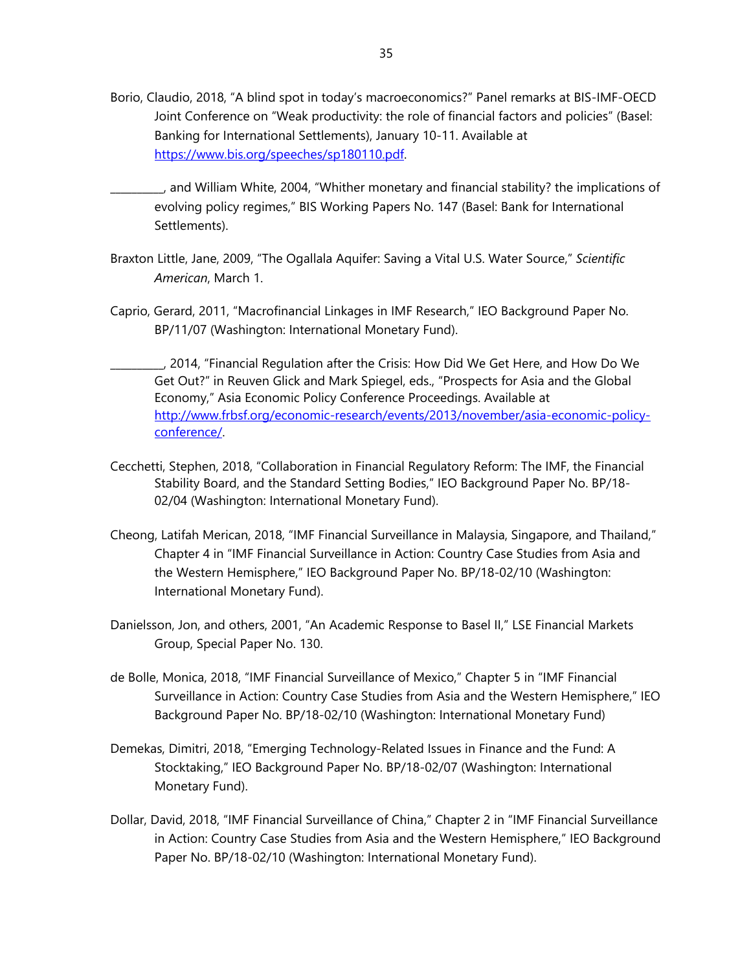Borio, Claudio, 2018, "A blind spot in today's macroeconomics?" Panel remarks at BIS-IMF-OECD Joint Conference on "Weak productivity: the role of financial factors and policies" (Basel: Banking for International Settlements), January 10-11. Available at https://www.bis.org/speeches/sp180110.pdf.

\_\_\_\_\_\_\_\_\_\_, and William White, 2004, "Whither monetary and financial stability? the implications of evolving policy regimes," BIS Working Papers No. 147 (Basel: Bank for International Settlements).

- Braxton Little, Jane, 2009, "The Ogallala Aquifer: Saving a Vital U.S. Water Source," *Scientific American*, March 1.
- Caprio, Gerard, 2011, "Macrofinancial Linkages in IMF Research," IEO Background Paper No. BP/11/07 (Washington: International Monetary Fund).
- \_\_\_\_\_\_\_\_\_\_, 2014, "Financial Regulation after the Crisis: How Did We Get Here, and How Do We Get Out?" in Reuven Glick and Mark Spiegel, eds., "Prospects for Asia and the Global Economy," Asia Economic Policy Conference Proceedings. Available at http://www.frbsf.org/economic-research/events/2013/november/asia-economic-policyconference/.
- Cecchetti, Stephen, 2018, "Collaboration in Financial Regulatory Reform: The IMF, the Financial Stability Board, and the Standard Setting Bodies," IEO Background Paper No. BP/18- 02/04 (Washington: International Monetary Fund).
- Cheong, Latifah Merican, 2018, "IMF Financial Surveillance in Malaysia, Singapore, and Thailand," Chapter 4 in "IMF Financial Surveillance in Action: Country Case Studies from Asia and the Western Hemisphere," IEO Background Paper No. BP/18-02/10 (Washington: International Monetary Fund).
- Danielsson, Jon, and others, 2001, "An Academic Response to Basel II," LSE Financial Markets Group, Special Paper No. 130.
- de Bolle, Monica, 2018, "IMF Financial Surveillance of Mexico," Chapter 5 in "IMF Financial Surveillance in Action: Country Case Studies from Asia and the Western Hemisphere," IEO Background Paper No. BP/18-02/10 (Washington: International Monetary Fund)
- Demekas, Dimitri, 2018, "Emerging Technology-Related Issues in Finance and the Fund: A Stocktaking," IEO Background Paper No. BP/18-02/07 (Washington: International Monetary Fund).
- Dollar, David, 2018, "IMF Financial Surveillance of China," Chapter 2 in "IMF Financial Surveillance in Action: Country Case Studies from Asia and the Western Hemisphere," IEO Background Paper No. BP/18-02/10 (Washington: International Monetary Fund).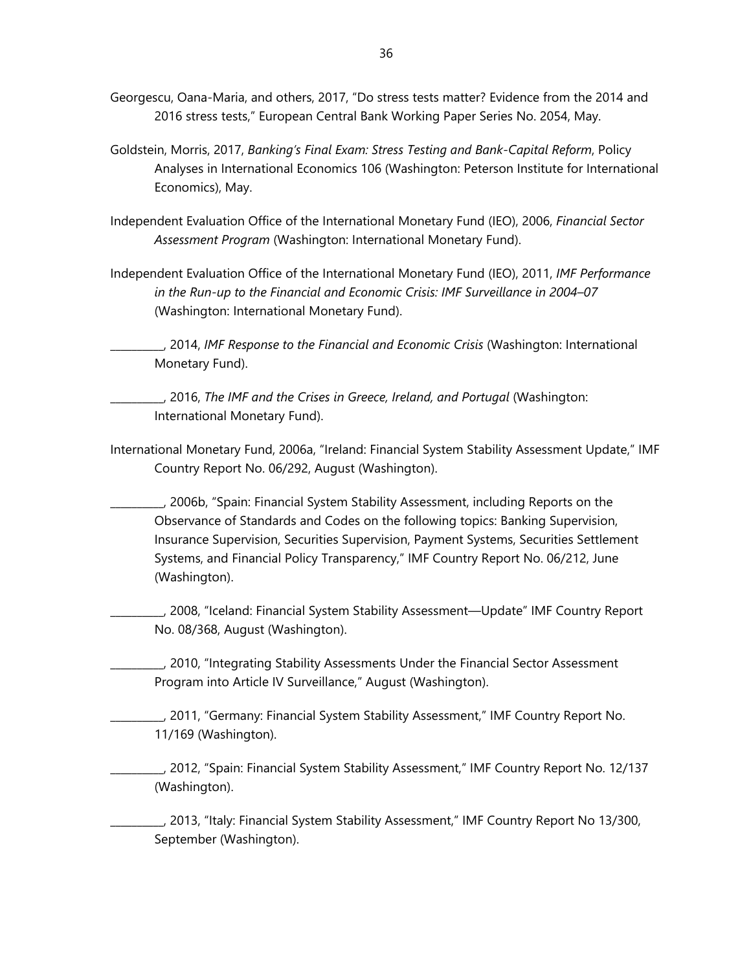- Georgescu, Oana-Maria, and others, 2017, "Do stress tests matter? Evidence from the 2014 and 2016 stress tests," European Central Bank Working Paper Series No. 2054, May.
- Goldstein, Morris, 2017, *Banking's Final Exam: Stress Testing and Bank-Capital Reform*, Policy Analyses in International Economics 106 (Washington: Peterson Institute for International Economics), May.
- Independent Evaluation Office of the International Monetary Fund (IEO), 2006, *Financial Sector Assessment Program* (Washington: International Monetary Fund).
- Independent Evaluation Office of the International Monetary Fund (IEO), 2011, *IMF Performance in the Run-up to the Financial and Economic Crisis: IMF Surveillance in 2004–07* (Washington: International Monetary Fund).

\_\_\_\_\_\_\_\_\_\_, 2014, *IMF Response to the Financial and Economic Crisis* (Washington: International Monetary Fund).

\_\_\_\_\_\_\_\_\_\_, 2016, *The IMF and the Crises in Greece, Ireland, and Portugal* (Washington: International Monetary Fund).

International Monetary Fund, 2006a, "Ireland: Financial System Stability Assessment Update," IMF Country Report No. 06/292, August (Washington).

\_\_\_\_\_\_\_\_\_\_, 2006b, "Spain: Financial System Stability Assessment, including Reports on the Observance of Standards and Codes on the following topics: Banking Supervision, Insurance Supervision, Securities Supervision, Payment Systems, Securities Settlement Systems, and Financial Policy Transparency," IMF Country Report No. 06/212, June (Washington).

\_\_\_\_\_\_\_\_\_\_, 2008, "Iceland: Financial System Stability Assessment—Update" IMF Country Report No. 08/368, August (Washington).

\_\_\_\_\_\_\_\_\_\_, 2010, "Integrating Stability Assessments Under the Financial Sector Assessment Program into Article IV Surveillance," August (Washington).

\_\_\_\_\_\_\_\_\_\_, 2011, "Germany: Financial System Stability Assessment," IMF Country Report No. 11/169 (Washington).

\_\_\_\_\_\_\_\_\_\_, 2012, "Spain: Financial System Stability Assessment," IMF Country Report No. 12/137 (Washington).

\_\_\_\_\_\_\_\_\_\_, 2013, "Italy: Financial System Stability Assessment," IMF Country Report No 13/300, September (Washington).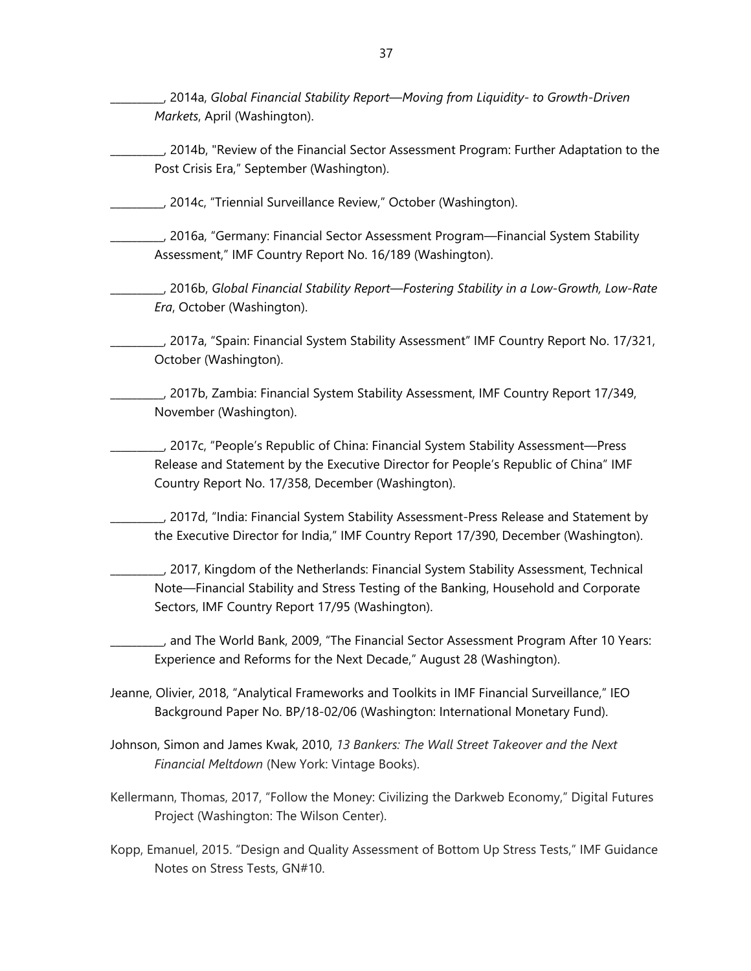\_\_\_\_\_\_\_\_\_\_, 2014a, *Global Financial Stability Report*—*Moving from Liquidity- to Growth-Driven Markets*, April (Washington).

\_\_\_\_\_\_\_\_\_\_, 2014b, "Review of the Financial Sector Assessment Program: Further Adaptation to the Post Crisis Era," September (Washington).

\_\_\_\_\_\_\_\_\_\_, 2014c, "Triennial Surveillance Review," October (Washington).

\_\_\_\_\_\_\_\_\_\_, 2016a, "Germany: Financial Sector Assessment Program—Financial System Stability Assessment," IMF Country Report No. 16/189 (Washington).

\_\_\_\_\_\_\_\_\_\_, 2016b, *Global Financial Stability Report*—*Fostering Stability in a Low-Growth, Low-Rate Era*, October (Washington).

\_\_\_\_\_\_\_\_\_\_, 2017a, "Spain: Financial System Stability Assessment" IMF Country Report No. 17/321, October (Washington).

\_\_\_\_\_\_\_\_\_\_, 2017b, Zambia: Financial System Stability Assessment, IMF Country Report 17/349, November (Washington).

\_\_\_\_\_\_\_\_\_\_, 2017c, "People's Republic of China: Financial System Stability Assessment—Press Release and Statement by the Executive Director for People's Republic of China" IMF Country Report No. 17/358, December (Washington).

\_\_\_\_\_\_\_\_\_\_, 2017d, "India: Financial System Stability Assessment-Press Release and Statement by the Executive Director for India," IMF Country Report 17/390, December (Washington).

\_\_\_\_\_\_\_\_\_\_, 2017, Kingdom of the Netherlands: Financial System Stability Assessment, Technical Note—Financial Stability and Stress Testing of the Banking, Household and Corporate Sectors, IMF Country Report 17/95 (Washington).

\_\_\_\_\_\_\_\_\_\_, and The World Bank, 2009, "The Financial Sector Assessment Program After 10 Years: Experience and Reforms for the Next Decade," August 28 (Washington).

Jeanne, Olivier, 2018, "Analytical Frameworks and Toolkits in IMF Financial Surveillance," IEO Background Paper No. BP/18-02/06 (Washington: International Monetary Fund).

Johnson, Simon and James Kwak, 2010, *13 Bankers: The Wall Street Takeover and the Next Financial Meltdown* (New York: Vintage Books).

Kellermann, Thomas, 2017, "Follow the Money: Civilizing the Darkweb Economy," Digital Futures Project (Washington: The Wilson Center).

Kopp, Emanuel, 2015. "Design and Quality Assessment of Bottom Up Stress Tests," IMF Guidance Notes on Stress Tests, GN#10.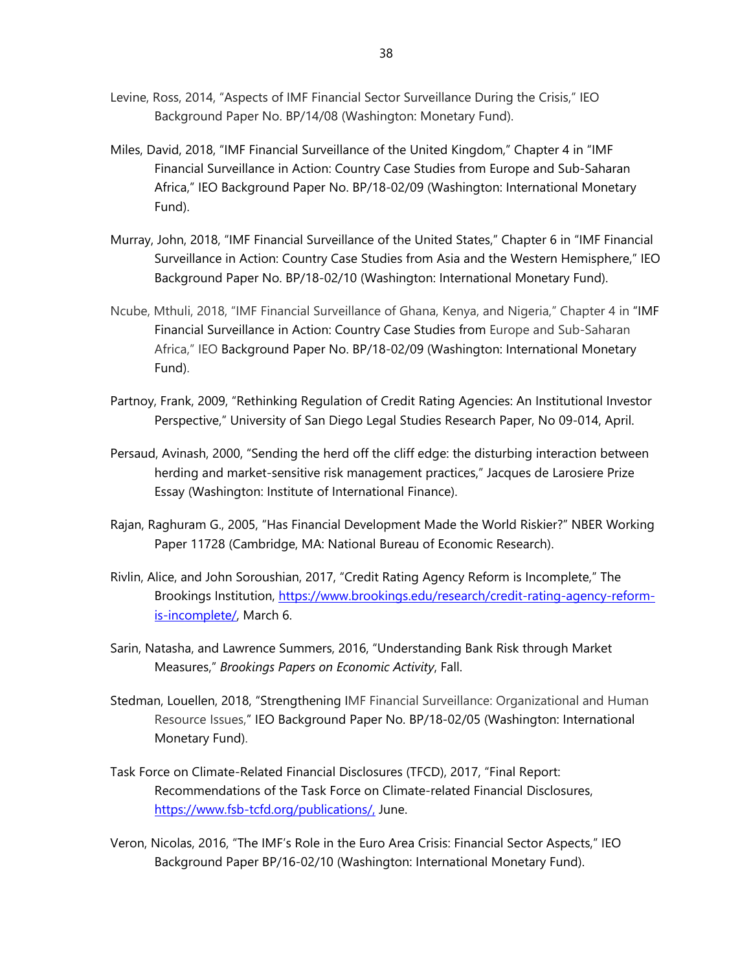- Levine, Ross, 2014, "Aspects of IMF Financial Sector Surveillance During the Crisis," IEO Background Paper No. BP/14/08 (Washington: Monetary Fund).
- Miles, David, 2018, "IMF Financial Surveillance of the United Kingdom," Chapter 4 in "IMF Financial Surveillance in Action: Country Case Studies from Europe and Sub-Saharan Africa," IEO Background Paper No. BP/18-02/09 (Washington: International Monetary Fund).
- Murray, John, 2018, "IMF Financial Surveillance of the United States," Chapter 6 in "IMF Financial Surveillance in Action: Country Case Studies from Asia and the Western Hemisphere," IEO Background Paper No. BP/18-02/10 (Washington: International Monetary Fund).
- Ncube, Mthuli, 2018, "IMF Financial Surveillance of Ghana, Kenya, and Nigeria," Chapter 4 in "IMF Financial Surveillance in Action: Country Case Studies from Europe and Sub-Saharan Africa," IEO Background Paper No. BP/18-02/09 (Washington: International Monetary Fund).
- Partnoy, Frank, 2009, "Rethinking Regulation of Credit Rating Agencies: An Institutional Investor Perspective," University of San Diego Legal Studies Research Paper, No 09-014, April.
- Persaud, Avinash, 2000, "Sending the herd off the cliff edge: the disturbing interaction between herding and market-sensitive risk management practices," Jacques de Larosiere Prize Essay (Washington: Institute of International Finance).
- Rajan, Raghuram G., 2005, "Has Financial Development Made the World Riskier?" NBER Working Paper 11728 (Cambridge, MA: National Bureau of Economic Research).
- Rivlin, Alice, and John Soroushian, 2017, "Credit Rating Agency Reform is Incomplete," The Brookings Institution, https://www.brookings.edu/research/credit-rating-agency-reformis-incomplete/, March 6.
- Sarin, Natasha, and Lawrence Summers, 2016, "Understanding Bank Risk through Market Measures," *Brookings Papers on Economic Activity*, Fall.
- Stedman, Louellen, 2018, "Strengthening IMF Financial Surveillance: Organizational and Human Resource Issues," IEO Background Paper No. BP/18-02/05 (Washington: International Monetary Fund).
- Task Force on Climate-Related Financial Disclosures (TFCD), 2017, "Final Report: Recommendations of the Task Force on Climate-related Financial Disclosures, https://www.fsb-tcfd.org/publications/, June.
- Veron, Nicolas, 2016, "The IMF's Role in the Euro Area Crisis: Financial Sector Aspects," IEO Background Paper BP/16-02/10 (Washington: International Monetary Fund).